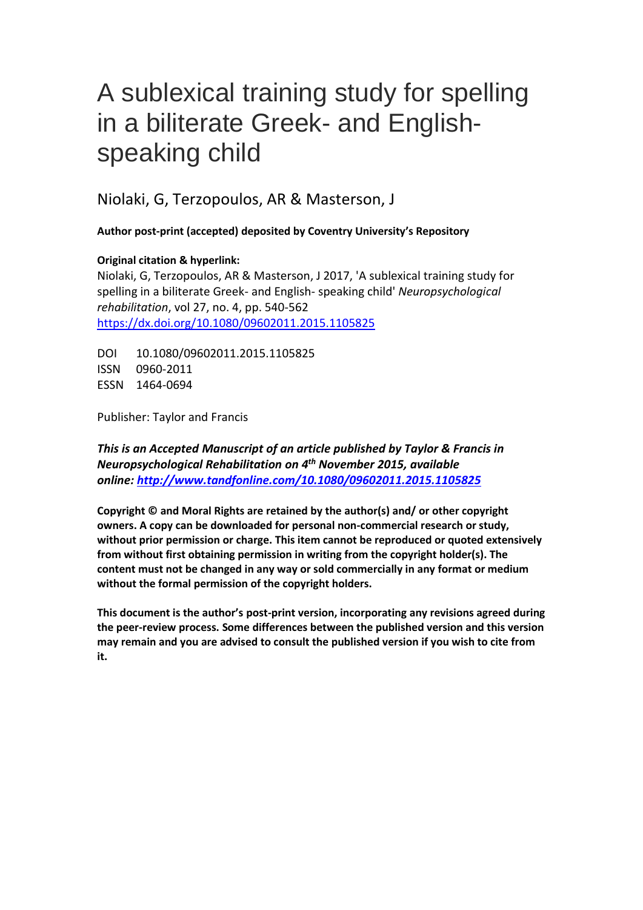# A sublexical training study for spelling in a biliterate Greek- and Englishspeaking child

Niolaki, G, Terzopoulos, AR & Masterson, J

**Author post-print (accepted) deposited by Coventry University's Repository**

# **Original citation & hyperlink:**

Niolaki, G, Terzopoulos, AR & Masterson, J 2017, 'A sublexical training study for spelling in a biliterate Greek- and English- speaking child' *Neuropsychological rehabilitation*, vol 27, no. 4, pp. 540-562 <https://dx.doi.org/10.1080/09602011.2015.1105825>

DOI 10.1080/09602011.2015.1105825 ISSN 0960-2011 ESSN 1464-0694

Publisher: Taylor and Francis

*This is an Accepted Manuscript of an article published by Taylor & Francis in Neuropsychological Rehabilitation on 4 th November 2015, available online: <http://www.tandfonline.com/10.1080/09602011.2015.1105825>*

**Copyright © and Moral Rights are retained by the author(s) and/ or other copyright owners. A copy can be downloaded for personal non-commercial research or study, without prior permission or charge. This item cannot be reproduced or quoted extensively from without first obtaining permission in writing from the copyright holder(s). The content must not be changed in any way or sold commercially in any format or medium without the formal permission of the copyright holders.** 

**This document is the author's post-print version, incorporating any revisions agreed during the peer-review process. Some differences between the published version and this version may remain and you are advised to consult the published version if you wish to cite from it.**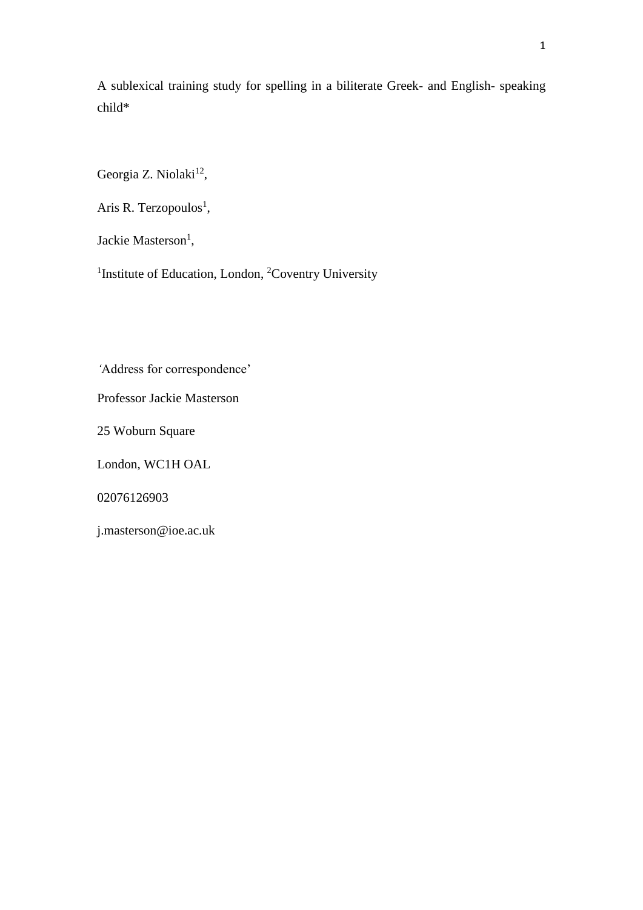A sublexical training study for spelling in a biliterate Greek- and English- speaking child\*

Georgia Z. Niolaki<sup>12</sup>,

Aris R. Terzopoulos<sup>1</sup>,

Jackie Masterson<sup>1</sup>,

<sup>1</sup>Institute of Education, London, <sup>2</sup>Coventry University

*'*Address for correspondence'

Professor Jackie Masterson

25 Woburn Square

London, WC1H OAL

02076126903

j.masterson@ioe.ac.uk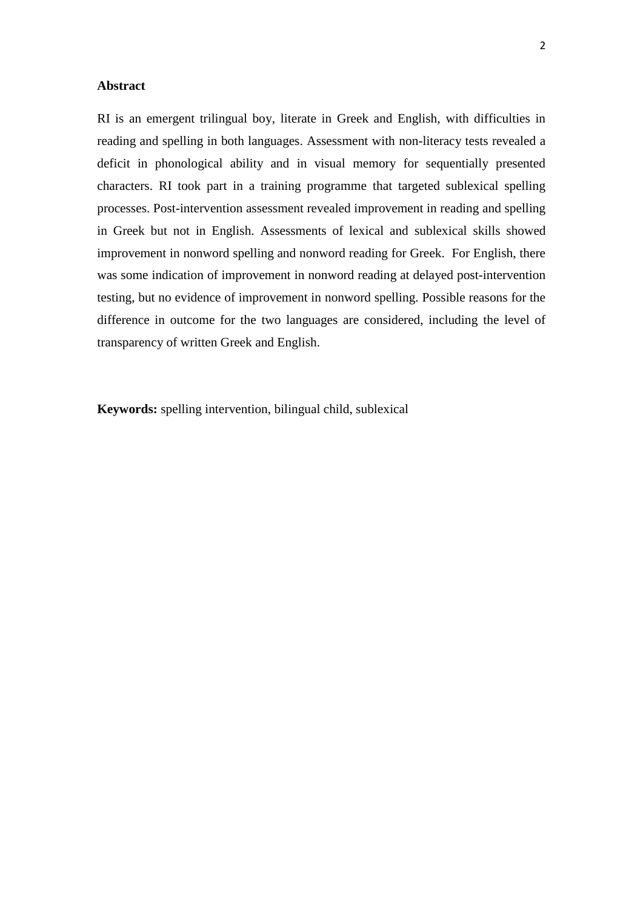# **Abstract**

RI is an emergent trilingual boy, literate in Greek and English, with difficulties in reading and spelling in both languages. Assessment with non-literacy tests revealed a deficit in phonological ability and in visual memory for sequentially presented characters. RI took part in a training programme that targeted sublexical spelling processes. Post-intervention assessment revealed improvement in reading and spelling in Greek but not in English. Assessments of lexical and sublexical skills showed improvement in nonword spelling and nonword reading for Greek. For English, there was some indication of improvement in nonword reading at delayed post-intervention testing, but no evidence of improvement in nonword spelling. Possible reasons for the difference in outcome for the two languages are considered, including the level of transparency of written Greek and English.

**Keywords:** spelling intervention, bilingual child, sublexical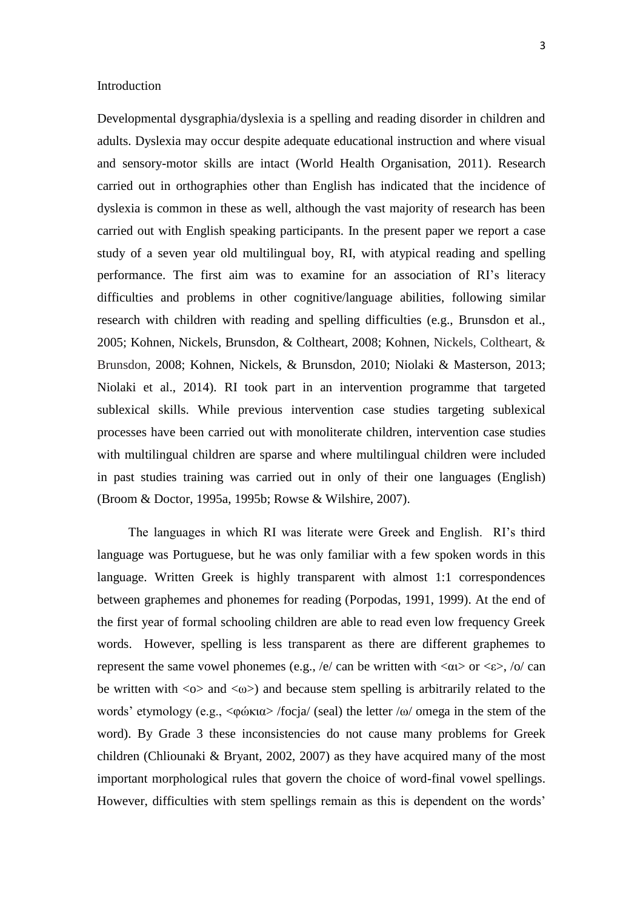#### Introduction

Developmental dysgraphia/dyslexia is a spelling and reading disorder in children and adults. Dyslexia may occur despite adequate educational instruction and where visual and sensory-motor skills are intact (World Health Organisation, 2011). Research carried out in orthographies other than English has indicated that the incidence of dyslexia is common in these as well, although the vast majority of research has been carried out with English speaking participants. In the present paper we report a case study of a seven year old multilingual boy, RI, with atypical reading and spelling performance. The first aim was to examine for an association of RI's literacy difficulties and problems in other cognitive/language abilities, following similar research with children with reading and spelling difficulties (e.g., Brunsdon et al., 2005; Kohnen, Nickels, Brunsdon, & Coltheart, 2008; Kohnen, Nickels, Coltheart, & Brunsdon, 2008; Kohnen, Nickels, & Brunsdon, 2010; Niolaki & Masterson, 2013; Niolaki et al., 2014). RI took part in an intervention programme that targeted sublexical skills. While previous intervention case studies targeting sublexical processes have been carried out with monoliterate children, intervention case studies with multilingual children are sparse and where multilingual children were included in past studies training was carried out in only of their one languages (English) (Broom & Doctor, 1995a, 1995b; Rowse & Wilshire, 2007).

The languages in which RI was literate were Greek and English. RI's third language was Portuguese, but he was only familiar with a few spoken words in this language. Written Greek is highly transparent with almost 1:1 correspondences between graphemes and phonemes for reading (Porpodas, 1991, 1999). At the end of the first year of formal schooling children are able to read even low frequency Greek words. However, spelling is less transparent as there are different graphemes to represent the same vowel phonemes (e.g., /e/ can be written with  $\langle \alpha v \rangle$  or  $\langle \varepsilon \rangle$ , /o/ can be written with  $\langle \omega \rangle$  and  $\langle \omega \rangle$  and because stem spelling is arbitrarily related to the words' etymology (e.g., <φώκια> /focja/ (seal) the letter /ω/ omega in the stem of the word). By Grade 3 these inconsistencies do not cause many problems for Greek children (Chliounaki & Bryant, 2002, 2007) as they have acquired many of the most important morphological rules that govern the choice of word-final vowel spellings. However, difficulties with stem spellings remain as this is dependent on the words'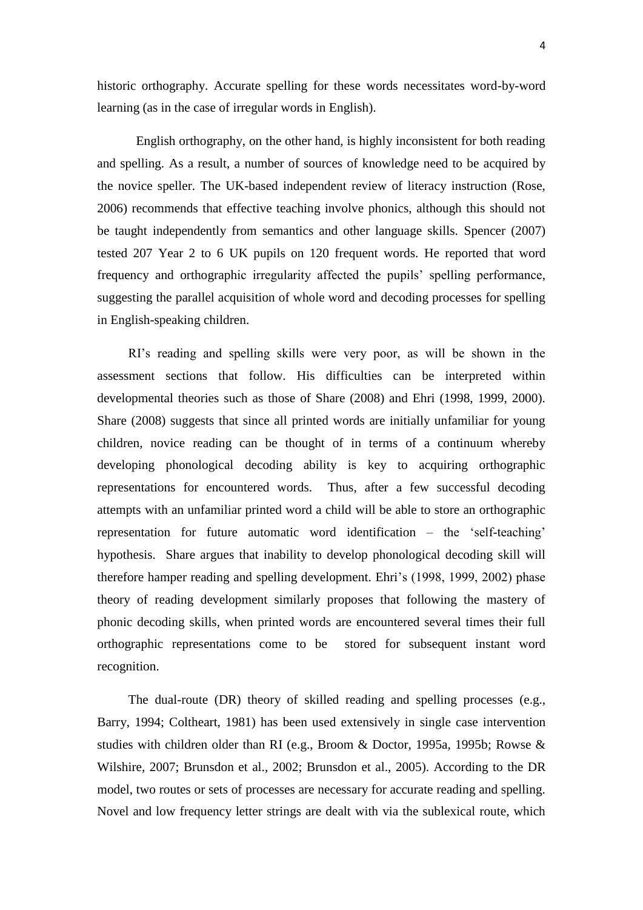historic orthography. Accurate spelling for these words necessitates word-by-word learning (as in the case of irregular words in English).

English orthography, on the other hand, is highly inconsistent for both reading and spelling. As a result, a number of sources of knowledge need to be acquired by the novice speller. The UK-based independent review of literacy instruction (Rose, 2006) recommends that effective teaching involve phonics, although this should not be taught independently from semantics and other language skills. Spencer (2007) tested 207 Year 2 to 6 UK pupils on 120 frequent words. He reported that word frequency and orthographic irregularity affected the pupils' spelling performance, suggesting the parallel acquisition of whole word and decoding processes for spelling in English-speaking children.

RI's reading and spelling skills were very poor, as will be shown in the assessment sections that follow. His difficulties can be interpreted within developmental theories such as those of Share (2008) and Ehri (1998, 1999, 2000). Share (2008) suggests that since all printed words are initially unfamiliar for young children, novice reading can be thought of in terms of a continuum whereby developing phonological decoding ability is key to acquiring orthographic representations for encountered words. Thus, after a few successful decoding attempts with an unfamiliar printed word a child will be able to store an orthographic representation for future automatic word identification – the 'self-teaching' hypothesis. Share argues that inability to develop phonological decoding skill will therefore hamper reading and spelling development. Ehri's (1998, 1999, 2002) phase theory of reading development similarly proposes that following the mastery of phonic decoding skills, when printed words are encountered several times their full orthographic representations come to be stored for subsequent instant word recognition.

The dual-route (DR) theory of skilled reading and spelling processes (e.g., Barry, 1994; Coltheart, 1981) has been used extensively in single case intervention studies with children older than RI (e.g., Broom & Doctor, 1995a, 1995b; Rowse & Wilshire, 2007; Brunsdon et al., 2002; Brunsdon et al., 2005). According to the DR model, two routes or sets of processes are necessary for accurate reading and spelling. Novel and low frequency letter strings are dealt with via the sublexical route, which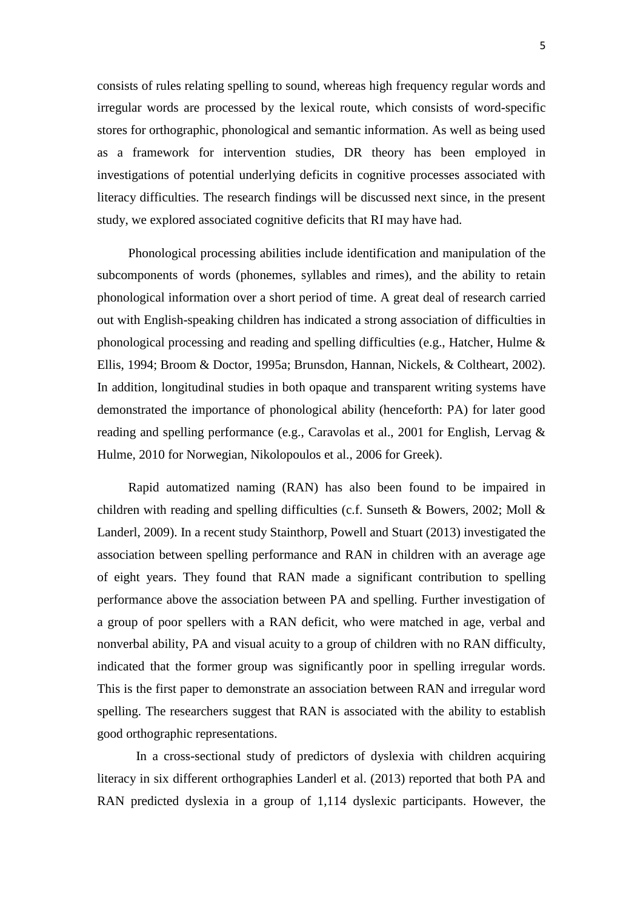consists of rules relating spelling to sound, whereas high frequency regular words and irregular words are processed by the lexical route, which consists of word-specific stores for orthographic, phonological and semantic information. As well as being used as a framework for intervention studies, DR theory has been employed in investigations of potential underlying deficits in cognitive processes associated with literacy difficulties. The research findings will be discussed next since, in the present study, we explored associated cognitive deficits that RI may have had.

Phonological processing abilities include identification and manipulation of the subcomponents of words (phonemes, syllables and rimes), and the ability to retain phonological information over a short period of time. A great deal of research carried out with English-speaking children has indicated a strong association of difficulties in phonological processing and reading and spelling difficulties (e.g., Hatcher, Hulme & Ellis, 1994; Broom & Doctor, 1995a; Brunsdon, Hannan, Nickels, & Coltheart, 2002). In addition, longitudinal studies in both opaque and transparent writing systems have demonstrated the importance of phonological ability (henceforth: PA) for later good reading and spelling performance (e.g., Caravolas et al., 2001 for English, Lervag & Hulme, 2010 for Norwegian, Nikolopoulos et al., 2006 for Greek).

Rapid automatized naming (RAN) has also been found to be impaired in children with reading and spelling difficulties (c.f. Sunseth & Bowers, 2002; Moll & Landerl, 2009). In a recent study Stainthorp, Powell and Stuart (2013) investigated the association between spelling performance and RAN in children with an average age of eight years. They found that RAN made a significant contribution to spelling performance above the association between PA and spelling. Further investigation of a group of poor spellers with a RAN deficit, who were matched in age, verbal and nonverbal ability, PA and visual acuity to a group of children with no RAN difficulty, indicated that the former group was significantly poor in spelling irregular words. This is the first paper to demonstrate an association between RAN and irregular word spelling. The researchers suggest that RAN is associated with the ability to establish good orthographic representations.

In a cross-sectional study of predictors of dyslexia with children acquiring literacy in six different orthographies Landerl et al. (2013) reported that both PA and RAN predicted dyslexia in a group of 1,114 dyslexic participants. However, the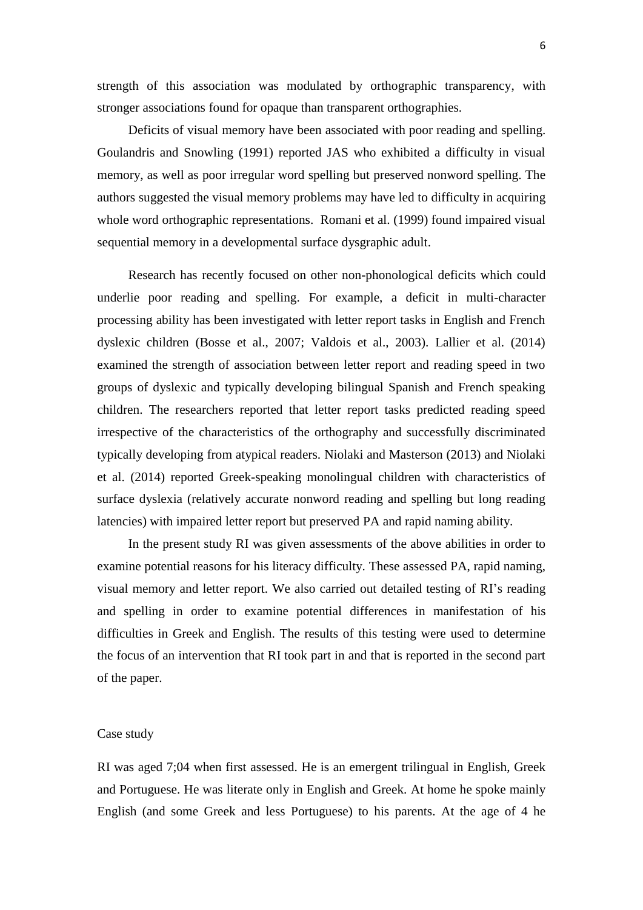strength of this association was modulated by orthographic transparency, with stronger associations found for opaque than transparent orthographies.

Deficits of visual memory have been associated with poor reading and spelling. Goulandris and Snowling (1991) reported JAS who exhibited a difficulty in visual memory, as well as poor irregular word spelling but preserved nonword spelling. The authors suggested the visual memory problems may have led to difficulty in acquiring whole word orthographic representations. Romani et al. (1999) found impaired visual sequential memory in a developmental surface dysgraphic adult.

Research has recently focused on other non-phonological deficits which could underlie poor reading and spelling. For example, a deficit in multi-character processing ability has been investigated with letter report tasks in English and French dyslexic children (Bosse et al., 2007; Valdois et al., 2003). Lallier et al. (2014) examined the strength of association between letter report and reading speed in two groups of dyslexic and typically developing bilingual Spanish and French speaking children. The researchers reported that letter report tasks predicted reading speed irrespective of the characteristics of the orthography and successfully discriminated typically developing from atypical readers. Niolaki and Masterson (2013) and Niolaki et al. (2014) reported Greek-speaking monolingual children with characteristics of surface dyslexia (relatively accurate nonword reading and spelling but long reading latencies) with impaired letter report but preserved PA and rapid naming ability.

In the present study RI was given assessments of the above abilities in order to examine potential reasons for his literacy difficulty. These assessed PA, rapid naming, visual memory and letter report. We also carried out detailed testing of RI's reading and spelling in order to examine potential differences in manifestation of his difficulties in Greek and English. The results of this testing were used to determine the focus of an intervention that RI took part in and that is reported in the second part of the paper.

#### Case study

RI was aged 7;04 when first assessed. He is an emergent trilingual in English, Greek and Portuguese. He was literate only in English and Greek. At home he spoke mainly English (and some Greek and less Portuguese) to his parents. At the age of 4 he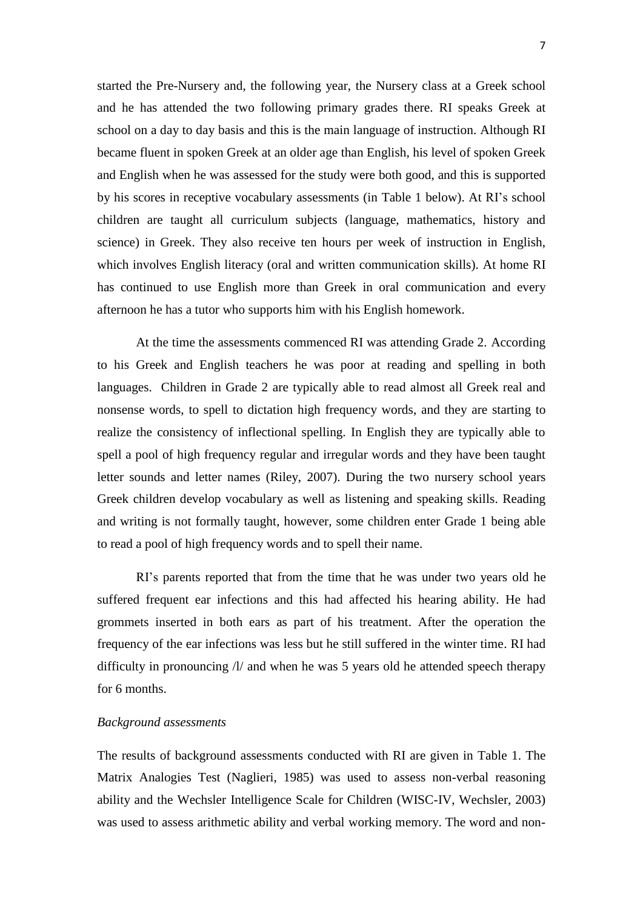started the Pre-Nursery and, the following year, the Nursery class at a Greek school and he has attended the two following primary grades there. RI speaks Greek at school on a day to day basis and this is the main language of instruction. Although RI became fluent in spoken Greek at an older age than English, his level of spoken Greek and English when he was assessed for the study were both good, and this is supported by his scores in receptive vocabulary assessments (in Table 1 below). At RI's school children are taught all curriculum subjects (language, mathematics, history and science) in Greek. They also receive ten hours per week of instruction in English, which involves English literacy (oral and written communication skills). At home RI has continued to use English more than Greek in oral communication and every afternoon he has a tutor who supports him with his English homework.

At the time the assessments commenced RI was attending Grade 2. According to his Greek and English teachers he was poor at reading and spelling in both languages. Children in Grade 2 are typically able to read almost all Greek real and nonsense words, to spell to dictation high frequency words, and they are starting to realize the consistency of inflectional spelling. In English they are typically able to spell a pool of high frequency regular and irregular words and they have been taught letter sounds and letter names (Riley, 2007). During the two nursery school years Greek children develop vocabulary as well as listening and speaking skills. Reading and writing is not formally taught, however, some children enter Grade 1 being able to read a pool of high frequency words and to spell their name.

RI's parents reported that from the time that he was under two years old he suffered frequent ear infections and this had affected his hearing ability. He had grommets inserted in both ears as part of his treatment. After the operation the frequency of the ear infections was less but he still suffered in the winter time. RI had difficulty in pronouncing /l/ and when he was 5 years old he attended speech therapy for 6 months.

# *Background assessments*

The results of background assessments conducted with RI are given in Table 1. The Matrix Analogies Test (Naglieri, 1985) was used to assess non-verbal reasoning ability and the Wechsler Intelligence Scale for Children (WISC-IV, Wechsler, 2003) was used to assess arithmetic ability and verbal working memory. The word and non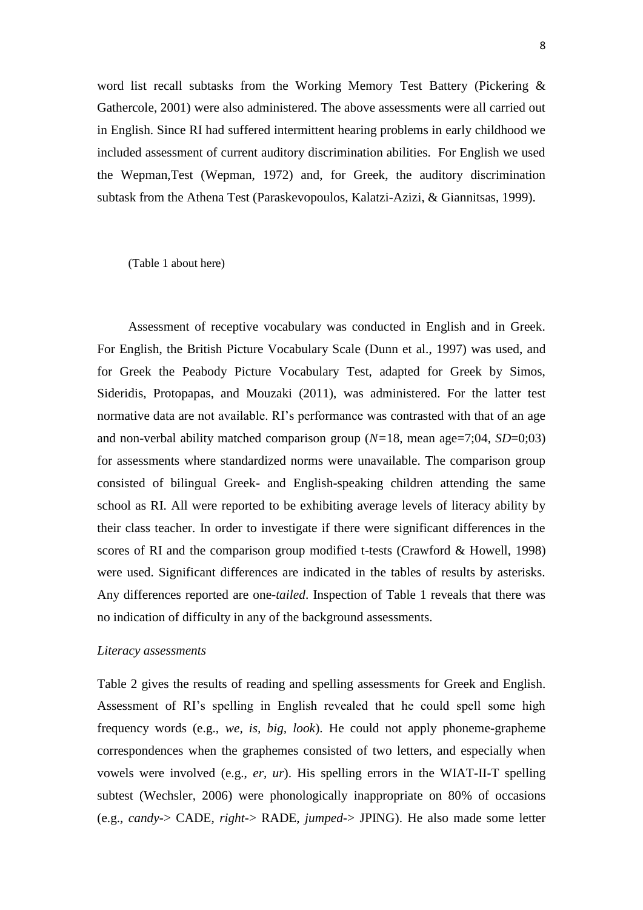word list recall subtasks from the Working Memory Test Battery (Pickering & Gathercole, 2001) were also administered. The above assessments were all carried out in English. Since RI had suffered intermittent hearing problems in early childhood we included assessment of current auditory discrimination abilities. For English we used the Wepman,Test (Wepman, 1972) and, for Greek, the auditory discrimination subtask from the Athena Test (Paraskevopoulos, Kalatzi-Azizi, & Giannitsas, 1999).

(Table 1 about here)

Assessment of receptive vocabulary was conducted in English and in Greek. For English, the British Picture Vocabulary Scale (Dunn et al., 1997) was used, and for Greek the Peabody Picture Vocabulary Test, adapted for Greek by Simos, Sideridis, Protopapas, and Mouzaki (2011), was administered. For the latter test normative data are not available. RI's performance was contrasted with that of an age and non-verbal ability matched comparison group  $(N=18)$ , mean age=7;04, *SD*=0;03) for assessments where standardized norms were unavailable. The comparison group consisted of bilingual Greek- and English-speaking children attending the same school as RI. All were reported to be exhibiting average levels of literacy ability by their class teacher. In order to investigate if there were significant differences in the scores of RI and the comparison group modified t-tests (Crawford & Howell, 1998) were used. Significant differences are indicated in the tables of results by asterisks. Any differences reported are one-*tailed*. Inspection of Table 1 reveals that there was no indication of difficulty in any of the background assessments.

#### *Literacy assessments*

Table 2 gives the results of reading and spelling assessments for Greek and English. Assessment of RI's spelling in English revealed that he could spell some high frequency words (e.g., *we, is, big, look*). He could not apply phoneme-grapheme correspondences when the graphemes consisted of two letters, and especially when vowels were involved (e.g., *er, ur*). His spelling errors in the WIAT-II-T spelling subtest (Wechsler, 2006) were phonologically inappropriate on 80% of occasions (e.g., *candy*-> CADE, *right*-> RADE, *jumped*-> JPING). He also made some letter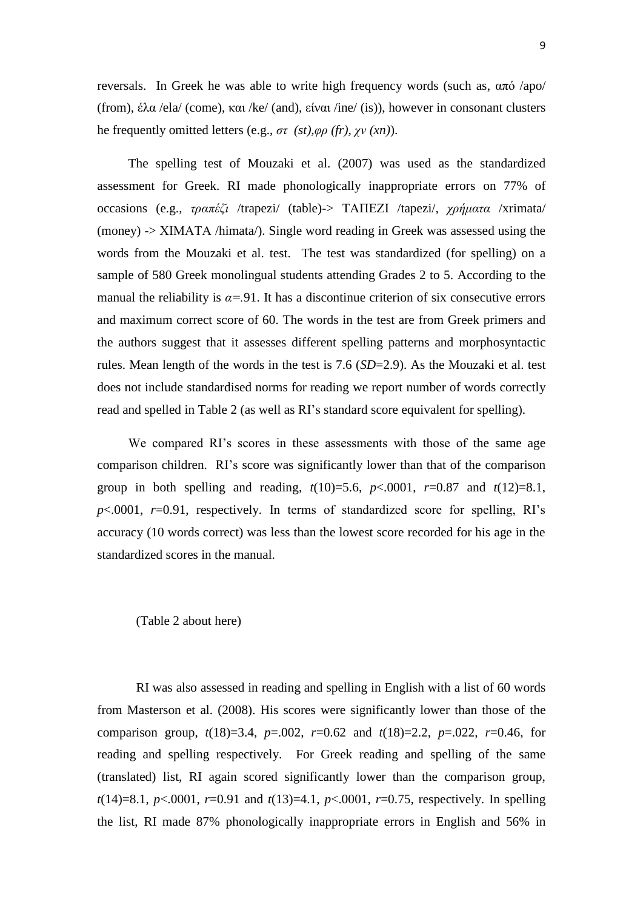reversals. In Greek he was able to write high frequency words (such as, από /apo/ (from), έλα /ela/ (come), και /ke/ (and), είναι /ine/ (is)), however in consonant clusters he frequently omitted letters (e.g., *στ (st),φρ (fr), χν (xn)*).

The spelling test of Mouzaki et al. (2007) was used as the standardized assessment for Greek. RI made phonologically inappropriate errors on 77% of occasions (e.g., *τραπέζι* /trapezi/ (table)-> ΤΑΠΕΖΙ /tapezi/, *χρήματα* /xrimata/ (money) -> ΧΙΜΑΤΑ /himata/). Single word reading in Greek was assessed using the words from the Mouzaki et al. test. The test was standardized (for spelling) on a sample of 580 Greek monolingual students attending Grades 2 to 5. According to the manual the reliability is  $\alpha = 91$ . It has a discontinue criterion of six consecutive errors and maximum correct score of 60. The words in the test are from Greek primers and the authors suggest that it assesses different spelling patterns and morphosyntactic rules. Mean length of the words in the test is 7.6 (*SD*=2.9). As the Mouzaki et al. test does not include standardised norms for reading we report number of words correctly read and spelled in Table 2 (as well as RI's standard score equivalent for spelling).

We compared RI's scores in these assessments with those of the same age comparison children. RI's score was significantly lower than that of the comparison group in both spelling and reading,  $t(10)=5.6$ ,  $p<.0001$ ,  $r=0.87$  and  $t(12)=8.1$ , *p*<.0001, *r*=0.91, respectively. In terms of standardized score for spelling, RI's accuracy (10 words correct) was less than the lowest score recorded for his age in the standardized scores in the manual.

#### (Table 2 about here)

RI was also assessed in reading and spelling in English with a list of 60 words from Masterson et al. (2008). His scores were significantly lower than those of the comparison group,  $t(18)=3.4$ ,  $p=.002$ ,  $r=0.62$  and  $t(18)=2.2$ ,  $p=.022$ ,  $r=0.46$ , for reading and spelling respectively. For Greek reading and spelling of the same (translated) list, RI again scored significantly lower than the comparison group, *t*(14)=8.1, *p*<.0001, *r*=0.91 and *t*(13)=4.1, *p*<.0001, *r*=0.75, respectively. In spelling the list, RI made 87% phonologically inappropriate errors in English and 56% in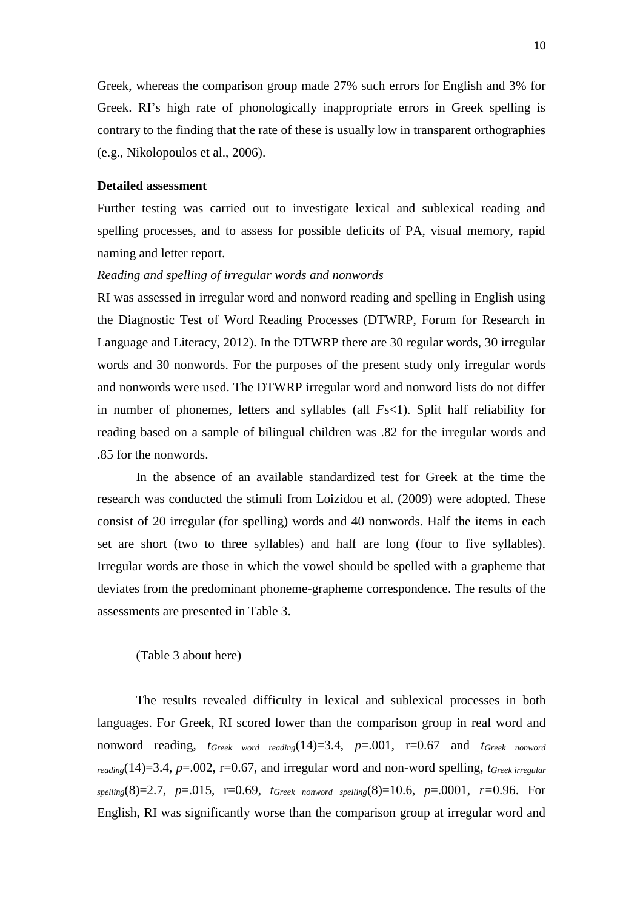Greek, whereas the comparison group made 27% such errors for English and 3% for Greek. RI's high rate of phonologically inappropriate errors in Greek spelling is contrary to the finding that the rate of these is usually low in transparent orthographies (e.g., Nikolopoulos et al., 2006).

# **Detailed assessment**

Further testing was carried out to investigate lexical and sublexical reading and spelling processes, and to assess for possible deficits of PA, visual memory, rapid naming and letter report.

# *Reading and spelling of irregular words and nonwords*

RI was assessed in irregular word and nonword reading and spelling in English using the Diagnostic Test of Word Reading Processes (DTWRP, Forum for Research in Language and Literacy, 2012). In the DTWRP there are 30 regular words, 30 irregular words and 30 nonwords. For the purposes of the present study only irregular words and nonwords were used. The DTWRP irregular word and nonword lists do not differ in number of phonemes, letters and syllables (all *Fs*<1). Split half reliability for reading based on a sample of bilingual children was .82 for the irregular words and .85 for the nonwords.

In the absence of an available standardized test for Greek at the time the research was conducted the stimuli from Loizidou et al. (2009) were adopted. These consist of 20 irregular (for spelling) words and 40 nonwords. Half the items in each set are short (two to three syllables) and half are long (four to five syllables). Irregular words are those in which the vowel should be spelled with a grapheme that deviates from the predominant phoneme-grapheme correspondence. The results of the assessments are presented in Table 3.

# (Table 3 about here)

The results revealed difficulty in lexical and sublexical processes in both languages. For Greek, RI scored lower than the comparison group in real word and nonword reading, *tGreek word reading*(14)=3.4, *p*=.001, r=0.67 and *tGreek nonword reading*(14)=3.4, *p*=.002, r=0.67, and irregular word and non-word spelling, *tGreek irregular spelling*(8)=2.7, *p*=.015, r=0.69, *tGreek nonword spelling*(8)=10.6, *p*=.0001, *r=*0.96. For English, RI was significantly worse than the comparison group at irregular word and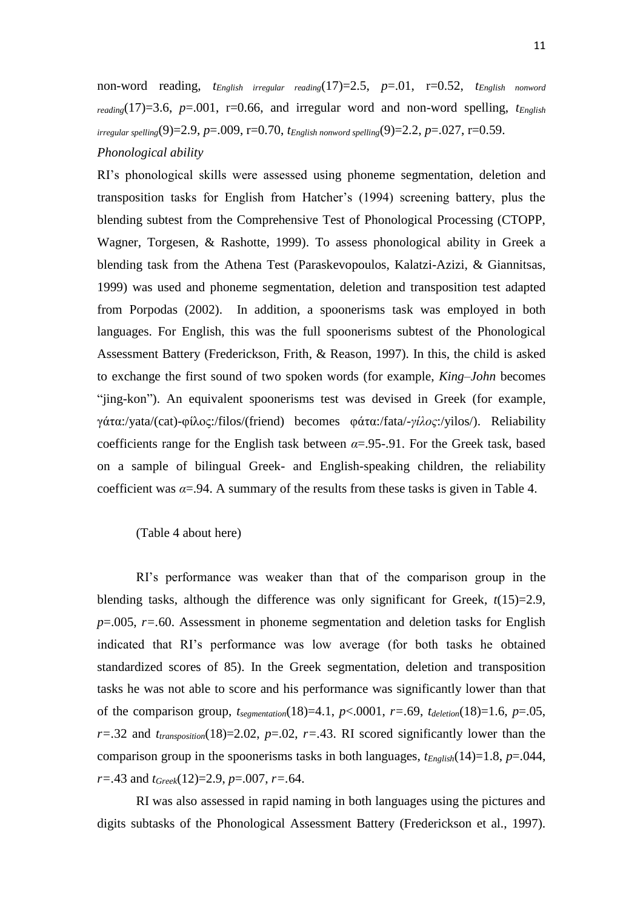non-word reading, *tEnglish irregular reading*(17)=2.5, *p*=.01, r=0.52, *tEnglish nonword*   $r_{\text{eading}}(17)=3.6$ ,  $p=.001$ ,  $r=.066$ , and irregular word and non-word spelling,  $t_{\text{Enelish}}$ *irregular spelling*(9)=2.9, *p*=.009, r=0.70, *tEnglish nonword spelling*(9)=2.2, *p*=.027, r=0.59. *Phonological ability*

RI's phonological skills were assessed using phoneme segmentation, deletion and transposition tasks for English from Hatcher's (1994) screening battery, plus the blending subtest from the Comprehensive Test of Phonological Processing (CTOPP, Wagner, Torgesen, & Rashotte, 1999). To assess phonological ability in Greek a blending task from the Athena Test (Paraskevopoulos, Kalatzi-Azizi, & Giannitsas, 1999) was used and phoneme segmentation, deletion and transposition test adapted from Porpodas (2002). In addition, a spoonerisms task was employed in both languages. For English, this was the full spoonerisms subtest of the Phonological Assessment Battery (Frederickson, Frith, & Reason, 1997). In this, the child is asked to exchange the first sound of two spoken words (for example, *King–John* becomes "jing-kon"). An equivalent spoonerisms test was devised in Greek (for example, γάτα:/yata/(cat)-φίλος:/filos/(friend) becomes φάτα:/fata/-*γίλος*:/yilos/). Reliability coefficients range for the English task between  $\alpha = 0.95-0.91$ . For the Greek task, based on a sample of bilingual Greek- and English-speaking children, the reliability coefficient was  $\alpha = 94$ . A summary of the results from these tasks is given in Table 4.

(Table 4 about here)

RI's performance was weaker than that of the comparison group in the blending tasks, although the difference was only significant for Greek,  $t(15)=2.9$ , *p*=.005, *r=.*60. Assessment in phoneme segmentation and deletion tasks for English indicated that RI's performance was low average (for both tasks he obtained standardized scores of 85). In the Greek segmentation, deletion and transposition tasks he was not able to score and his performance was significantly lower than that of the comparison group, *tsegmentation*(18)=4.1, *p*<.0001, *r=.*69, *tdeletion*(18)=1.6, *p*=.05,  $r=.32$  and  $t_{transposition}(18)=2.02$ ,  $p=.02$ ,  $r=.43$ . RI scored significantly lower than the comparison group in the spoonerisms tasks in both languages, *tEnglish*(14)=1.8, *p*=.044, *r=.*43 and *tGreek*(12)=2.9, *p*=.007, *r=.*64.

RI was also assessed in rapid naming in both languages using the pictures and digits subtasks of the Phonological Assessment Battery (Frederickson et al., 1997).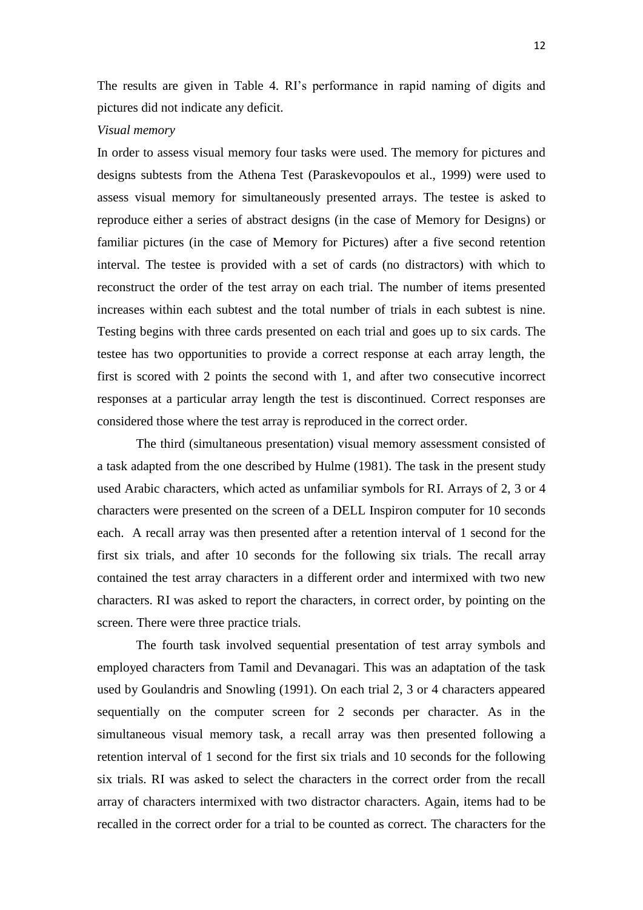The results are given in Table 4. RI's performance in rapid naming of digits and pictures did not indicate any deficit.

#### *Visual memory*

In order to assess visual memory four tasks were used. The memory for pictures and designs subtests from the Athena Test (Paraskevopoulos et al., 1999) were used to assess visual memory for simultaneously presented arrays. The testee is asked to reproduce either a series of abstract designs (in the case of Memory for Designs) or familiar pictures (in the case of Memory for Pictures) after a five second retention interval. The testee is provided with a set of cards (no distractors) with which to reconstruct the order of the test array on each trial. The number of items presented increases within each subtest and the total number of trials in each subtest is nine. Testing begins with three cards presented on each trial and goes up to six cards. The testee has two opportunities to provide a correct response at each array length, the first is scored with 2 points the second with 1, and after two consecutive incorrect responses at a particular array length the test is discontinued. Correct responses are considered those where the test array is reproduced in the correct order.

The third (simultaneous presentation) visual memory assessment consisted of a task adapted from the one described by Hulme (1981). The task in the present study used Arabic characters, which acted as unfamiliar symbols for RI. Arrays of 2, 3 or 4 characters were presented on the screen of a DELL Inspiron computer for 10 seconds each. A recall array was then presented after a retention interval of 1 second for the first six trials, and after 10 seconds for the following six trials. The recall array contained the test array characters in a different order and intermixed with two new characters. RI was asked to report the characters, in correct order, by pointing on the screen. There were three practice trials.

The fourth task involved sequential presentation of test array symbols and employed characters from Tamil and Devanagari. This was an adaptation of the task used by Goulandris and Snowling (1991). On each trial 2, 3 or 4 characters appeared sequentially on the computer screen for 2 seconds per character. As in the simultaneous visual memory task, a recall array was then presented following a retention interval of 1 second for the first six trials and 10 seconds for the following six trials. RI was asked to select the characters in the correct order from the recall array of characters intermixed with two distractor characters. Again, items had to be recalled in the correct order for a trial to be counted as correct. The characters for the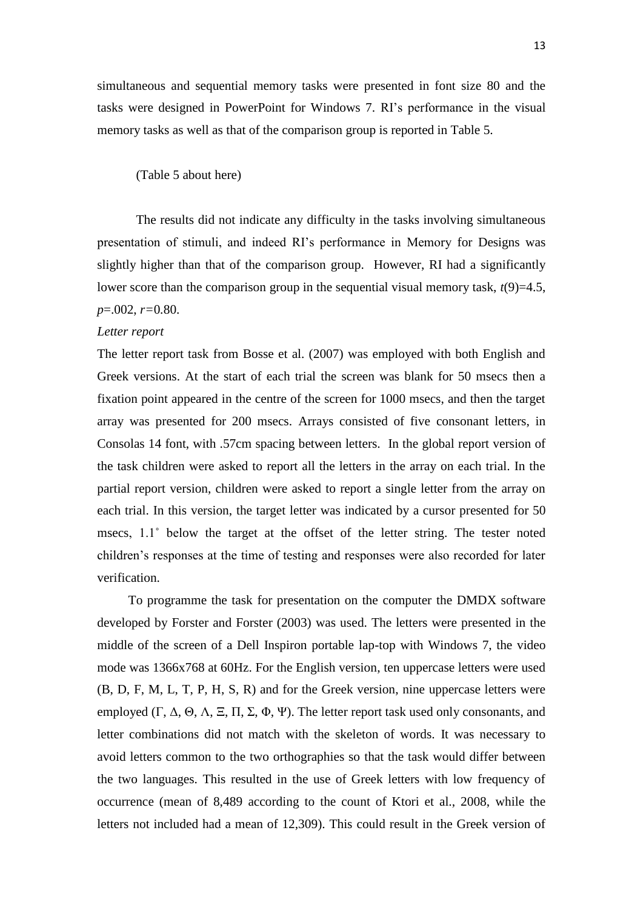simultaneous and sequential memory tasks were presented in font size 80 and the tasks were designed in PowerPoint for Windows 7. RI's performance in the visual memory tasks as well as that of the comparison group is reported in Table 5.

#### (Table 5 about here)

The results did not indicate any difficulty in the tasks involving simultaneous presentation of stimuli, and indeed RI's performance in Memory for Designs was slightly higher than that of the comparison group. However, RI had a significantly lower score than the comparison group in the sequential visual memory task,  $t(9)=4.5$ , *p*=.002, *r=*0*.*80.

#### *Letter report*

The letter report task from Bosse et al. (2007) was employed with both English and Greek versions. At the start of each trial the screen was blank for 50 msecs then a fixation point appeared in the centre of the screen for 1000 msecs, and then the target array was presented for 200 msecs. Arrays consisted of five consonant letters, in Consolas 14 font, with .57cm spacing between letters. In the global report version of the task children were asked to report all the letters in the array on each trial. In the partial report version, children were asked to report a single letter from the array on each trial. In this version, the target letter was indicated by a cursor presented for 50 msecs, 1.1° below the target at the offset of the letter string. The tester noted children's responses at the time of testing and responses were also recorded for later verification.

To programme the task for presentation on the computer the DMDX software developed by Forster and Forster (2003) was used. The letters were presented in the middle of the screen of a Dell Inspiron portable lap-top with Windows 7, the video mode was 1366x768 at 60Hz. For the English version, ten uppercase letters were used (B, D, F, M, L, T, P, H, S, R) and for the Greek version, nine uppercase letters were employed (Γ, Δ, Θ, Λ, Ξ, Π, Σ, Φ, Ψ). The letter report task used only consonants, and letter combinations did not match with the skeleton of words. It was necessary to avoid letters common to the two orthographies so that the task would differ between the two languages. This resulted in the use of Greek letters with low frequency of occurrence (mean of 8,489 according to the count of Ktori et al., 2008, while the letters not included had a mean of 12,309). This could result in the Greek version of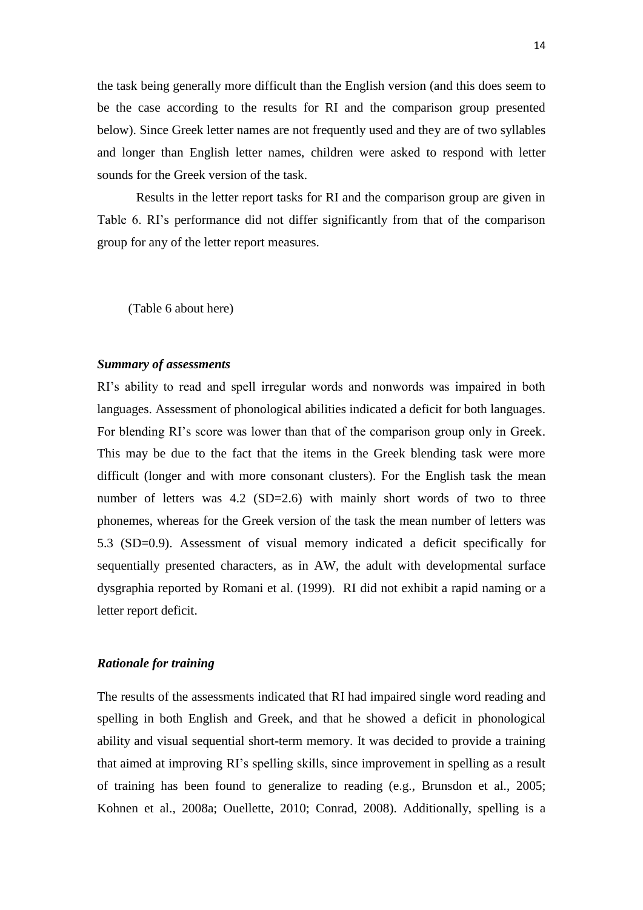the task being generally more difficult than the English version (and this does seem to be the case according to the results for RI and the comparison group presented below). Since Greek letter names are not frequently used and they are of two syllables and longer than English letter names, children were asked to respond with letter sounds for the Greek version of the task.

Results in the letter report tasks for RI and the comparison group are given in Table 6. RI's performance did not differ significantly from that of the comparison group for any of the letter report measures.

(Table 6 about here)

# *Summary of assessments*

RI's ability to read and spell irregular words and nonwords was impaired in both languages. Assessment of phonological abilities indicated a deficit for both languages. For blending RI's score was lower than that of the comparison group only in Greek. This may be due to the fact that the items in the Greek blending task were more difficult (longer and with more consonant clusters). For the English task the mean number of letters was 4.2 (SD=2.6) with mainly short words of two to three phonemes, whereas for the Greek version of the task the mean number of letters was 5.3 (SD=0.9). Assessment of visual memory indicated a deficit specifically for sequentially presented characters, as in AW, the adult with developmental surface dysgraphia reported by Romani et al. (1999). RI did not exhibit a rapid naming or a letter report deficit.

# *Rationale for training*

The results of the assessments indicated that RI had impaired single word reading and spelling in both English and Greek, and that he showed a deficit in phonological ability and visual sequential short-term memory. It was decided to provide a training that aimed at improving RI's spelling skills, since improvement in spelling as a result of training has been found to generalize to reading (e.g., Brunsdon et al., 2005; Kohnen et al., 2008a; Ouellette, 2010; Conrad, 2008). Additionally, spelling is a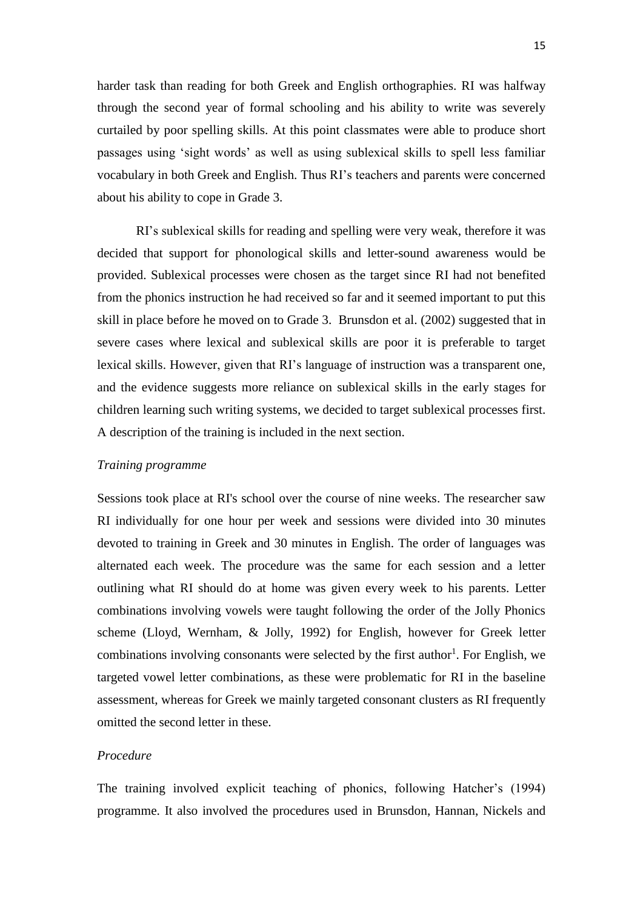harder task than reading for both Greek and English orthographies. RI was halfway through the second year of formal schooling and his ability to write was severely curtailed by poor spelling skills. At this point classmates were able to produce short passages using 'sight words' as well as using sublexical skills to spell less familiar vocabulary in both Greek and English. Thus RI's teachers and parents were concerned about his ability to cope in Grade 3.

RI's sublexical skills for reading and spelling were very weak, therefore it was decided that support for phonological skills and letter-sound awareness would be provided. Sublexical processes were chosen as the target since RI had not benefited from the phonics instruction he had received so far and it seemed important to put this skill in place before he moved on to Grade 3. Brunsdon et al. (2002) suggested that in severe cases where lexical and sublexical skills are poor it is preferable to target lexical skills. However, given that RI's language of instruction was a transparent one, and the evidence suggests more reliance on sublexical skills in the early stages for children learning such writing systems, we decided to target sublexical processes first. A description of the training is included in the next section.

#### *Training programme*

Sessions took place at RI's school over the course of nine weeks. The researcher saw RI individually for one hour per week and sessions were divided into 30 minutes devoted to training in Greek and 30 minutes in English. The order of languages was alternated each week. The procedure was the same for each session and a letter outlining what RI should do at home was given every week to his parents. Letter combinations involving vowels were taught following the order of the Jolly Phonics scheme (Lloyd, Wernham, & Jolly, 1992) for English, however for Greek letter combinations involving consonants were selected by the first author<sup>1</sup>. For English, we targeted vowel letter combinations, as these were problematic for RI in the baseline assessment, whereas for Greek we mainly targeted consonant clusters as RI frequently omitted the second letter in these.

# *Procedure*

The training involved explicit teaching of phonics, following Hatcher's (1994) programme. It also involved the procedures used in Brunsdon, Hannan, Nickels and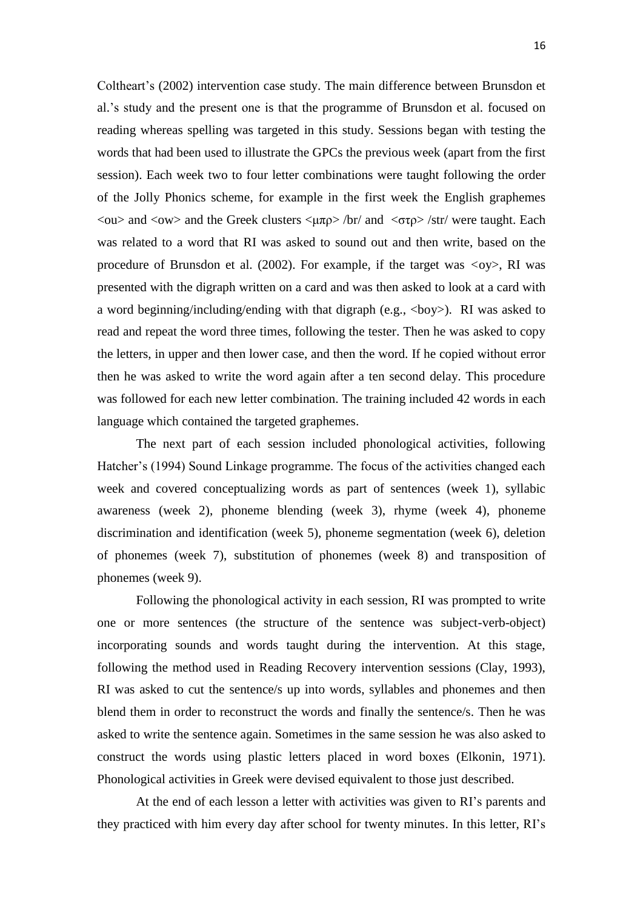Coltheart's (2002) intervention case study. The main difference between Brunsdon et al.'s study and the present one is that the programme of Brunsdon et al. focused on reading whereas spelling was targeted in this study. Sessions began with testing the words that had been used to illustrate the GPCs the previous week (apart from the first session). Each week two to four letter combinations were taught following the order of the Jolly Phonics scheme, for example in the first week the English graphemes  $\langle 0 \rangle$  and  $\langle 0 \rangle$  and the Greek clusters  $\langle \mu \pi \rho \rangle$  /br/ and  $\langle \sigma \tau \rho \rangle$  /str/ were taught. Each was related to a word that RI was asked to sound out and then write, based on the procedure of Brunsdon et al. (2002). For example, if the target was *<*oy>, RI was presented with the digraph written on a card and was then asked to look at a card with a word beginning/including/ending with that digraph (e.g.,  $\langle \text{boy} \rangle$ ). RI was asked to read and repeat the word three times, following the tester. Then he was asked to copy the letters, in upper and then lower case, and then the word. If he copied without error then he was asked to write the word again after a ten second delay. This procedure was followed for each new letter combination. The training included 42 words in each language which contained the targeted graphemes.

The next part of each session included phonological activities, following Hatcher's (1994) Sound Linkage programme. The focus of the activities changed each week and covered conceptualizing words as part of sentences (week 1), syllabic awareness (week 2), phoneme blending (week 3), rhyme (week 4), phoneme discrimination and identification (week 5), phoneme segmentation (week 6), deletion of phonemes (week 7), substitution of phonemes (week 8) and transposition of phonemes (week 9).

Following the phonological activity in each session, RI was prompted to write one or more sentences (the structure of the sentence was subject-verb-object) incorporating sounds and words taught during the intervention. At this stage, following the method used in Reading Recovery intervention sessions (Clay, 1993), RI was asked to cut the sentence/s up into words, syllables and phonemes and then blend them in order to reconstruct the words and finally the sentence/s. Then he was asked to write the sentence again. Sometimes in the same session he was also asked to construct the words using plastic letters placed in word boxes (Elkonin, 1971). Phonological activities in Greek were devised equivalent to those just described.

At the end of each lesson a letter with activities was given to RI's parents and they practiced with him every day after school for twenty minutes. In this letter, RI's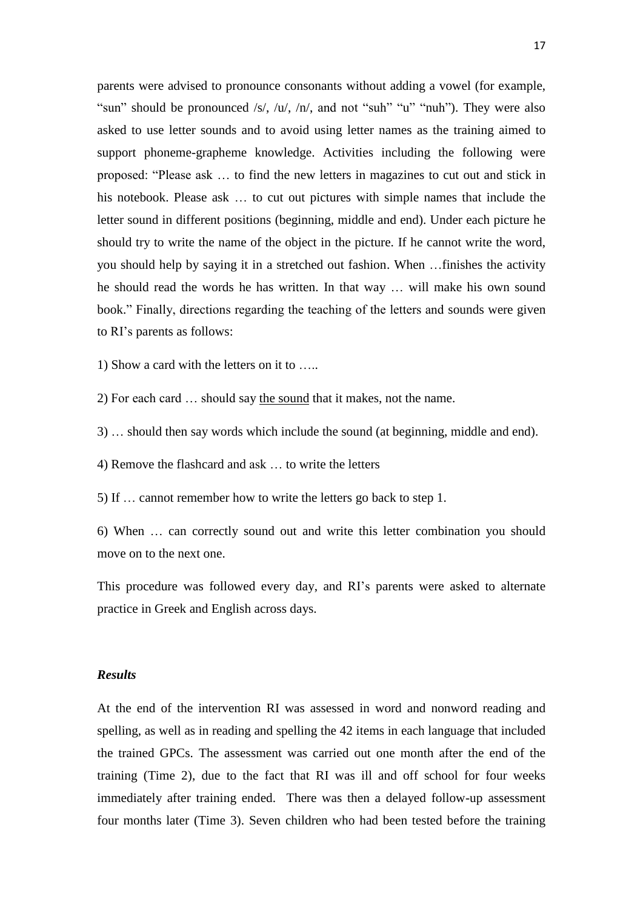parents were advised to pronounce consonants without adding a vowel (for example, "sun" should be pronounced /s/, /u/, /n/, and not "suh" "u" "nuh"). They were also asked to use letter sounds and to avoid using letter names as the training aimed to support phoneme-grapheme knowledge. Activities including the following were proposed: "Please ask … to find the new letters in magazines to cut out and stick in his notebook. Please ask … to cut out pictures with simple names that include the letter sound in different positions (beginning, middle and end). Under each picture he should try to write the name of the object in the picture. If he cannot write the word, you should help by saying it in a stretched out fashion. When …finishes the activity he should read the words he has written. In that way … will make his own sound book." Finally, directions regarding the teaching of the letters and sounds were given to RI's parents as follows:

1) Show a card with the letters on it to …..

2) For each card … should say the sound that it makes, not the name.

3) … should then say words which include the sound (at beginning, middle and end).

4) Remove the flashcard and ask … to write the letters

5) If … cannot remember how to write the letters go back to step 1.

6) When … can correctly sound out and write this letter combination you should move on to the next one.

This procedure was followed every day, and RI's parents were asked to alternate practice in Greek and English across days.

#### *Results*

At the end of the intervention RI was assessed in word and nonword reading and spelling, as well as in reading and spelling the 42 items in each language that included the trained GPCs. The assessment was carried out one month after the end of the training (Time 2), due to the fact that RI was ill and off school for four weeks immediately after training ended. There was then a delayed follow-up assessment four months later (Time 3). Seven children who had been tested before the training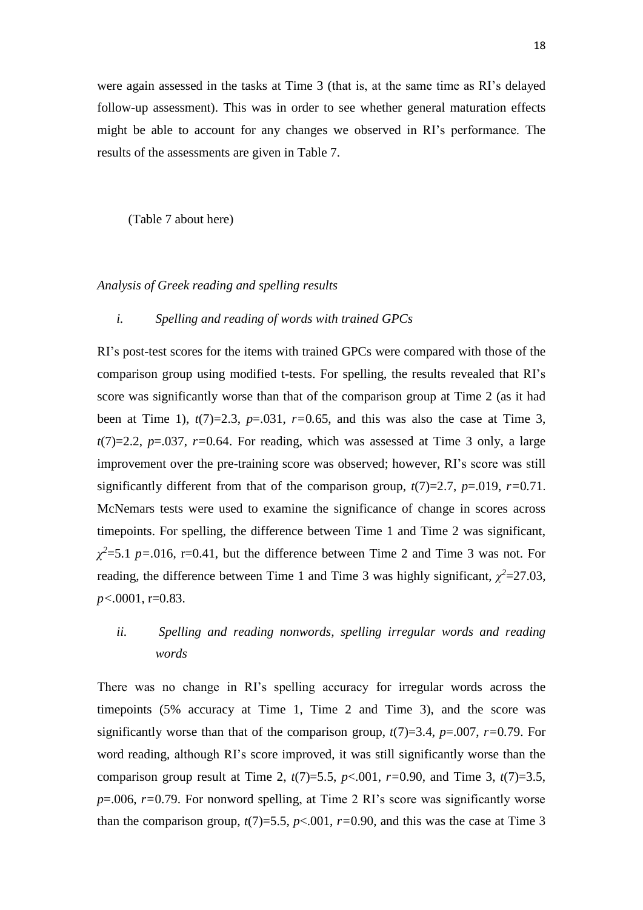were again assessed in the tasks at Time 3 (that is, at the same time as RI's delayed follow-up assessment). This was in order to see whether general maturation effects might be able to account for any changes we observed in RI's performance. The results of the assessments are given in Table 7.

(Table 7 about here)

# *Analysis of Greek reading and spelling results*

### *i. Spelling and reading of words with trained GPCs*

RI's post-test scores for the items with trained GPCs were compared with those of the comparison group using modified t-tests. For spelling, the results revealed that RI's score was significantly worse than that of the comparison group at Time 2 (as it had been at Time 1),  $t(7)=2.3$ ,  $p=.031$ ,  $r=.0.65$ , and this was also the case at Time 3,  $t(7)=2.2$ ,  $p=.037$ ,  $r=0.64$ . For reading, which was assessed at Time 3 only, a large improvement over the pre-training score was observed; however, RI's score was still significantly different from that of the comparison group, *t*(7)=2.7, *p*=.019, *r=*0*.*71. McNemars tests were used to examine the significance of change in scores across timepoints. For spelling, the difference between Time 1 and Time 2 was significant,  $\chi^2$ =5.1 *p*=.016, r=0.41, but the difference between Time 2 and Time 3 was not. For reading, the difference between Time 1 and Time 3 was highly significant,  $\chi^2$ =27.03, *p<.*0001, r=0.83.

# *ii. Spelling and reading nonwords, spelling irregular words and reading words*

There was no change in RI's spelling accuracy for irregular words across the timepoints (5% accuracy at Time 1, Time 2 and Time 3), and the score was significantly worse than that of the comparison group,  $t(7)=3.4$ ,  $p=.007$ ,  $r=0.79$ . For word reading, although RI's score improved, it was still significantly worse than the comparison group result at Time 2,  $t(7)=5.5$ ,  $p<.001$ ,  $r=0.90$ , and Time 3,  $t(7)=3.5$ , *p*=.006, *r=*0.79. For nonword spelling, at Time 2 RI's score was significantly worse than the comparison group,  $t(7)=5.5$ ,  $p<0.001$ ,  $r=0.90$ , and this was the case at Time 3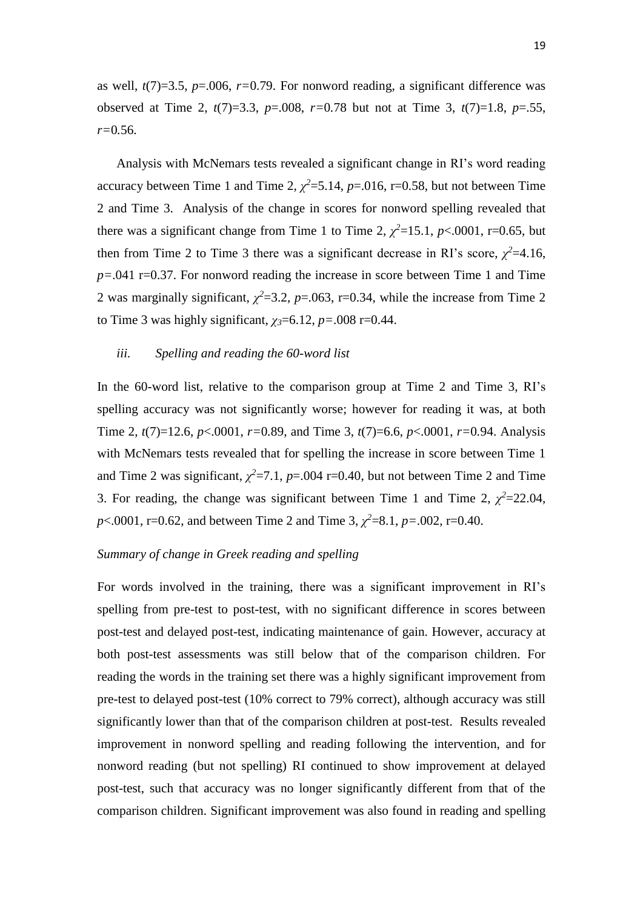as well, *t*(7)=3.5, *p*=.006, *r=*0.79. For nonword reading, a significant difference was observed at Time 2, *t*(7)=3.3, *p*=.008, *r=*0*.*78 but not at Time 3, *t*(7)=1.8, *p*=.55, *r=*0*.*56.

Analysis with McNemars tests revealed a significant change in RI's word reading accuracy between Time 1 and Time 2,  $\chi^2$ =5.14,  $p$ =.016, r=0.58, but not between Time 2 and Time 3. Analysis of the change in scores for nonword spelling revealed that there was a significant change from Time 1 to Time 2,  $\chi^2$ =15.1, *p*<.0001, r=0.65, but then from Time 2 to Time 3 there was a significant decrease in RI's score,  $\chi^2$ =4.16, *p=*.041 r=0.37. For nonword reading the increase in score between Time 1 and Time 2 was marginally significant,  $\chi^2$ =3.2, *p*=.063, r=0.34, while the increase from Time 2 to Time 3 was highly significant,  $\chi$ <sup>3=6.12</sup>, *p*=.008 r=0.44.

# *iii. Spelling and reading the 60-word list*

In the 60-word list, relative to the comparison group at Time 2 and Time 3, RI's spelling accuracy was not significantly worse; however for reading it was, at both Time 2, *t*(7)=12.6, *p*<.0001, *r=*0*.*89, and Time 3, *t*(7)=6.6, *p*<.0001, *r=*0*.*94. Analysis with McNemars tests revealed that for spelling the increase in score between Time 1 and Time 2 was significant,  $\chi^2$ =7.1, *p*=.004 r=0.40, but not between Time 2 and Time 3. For reading, the change was significant between Time 1 and Time 2,  $\chi^2$ =22.04, *p*<.0001, r=0.62, and between Time 2 and Time 3,  $\chi^2$ =8.1, *p*=.002, r=0.40.

#### *Summary of change in Greek reading and spelling*

For words involved in the training, there was a significant improvement in RI's spelling from pre-test to post-test, with no significant difference in scores between post-test and delayed post-test, indicating maintenance of gain. However, accuracy at both post-test assessments was still below that of the comparison children. For reading the words in the training set there was a highly significant improvement from pre-test to delayed post-test (10% correct to 79% correct), although accuracy was still significantly lower than that of the comparison children at post-test. Results revealed improvement in nonword spelling and reading following the intervention, and for nonword reading (but not spelling) RI continued to show improvement at delayed post-test, such that accuracy was no longer significantly different from that of the comparison children. Significant improvement was also found in reading and spelling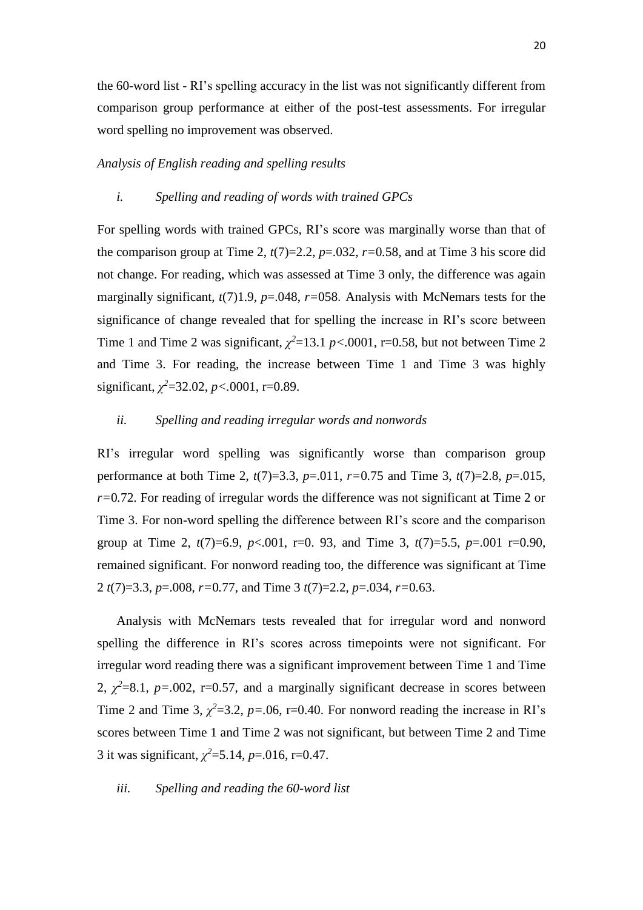the 60-word list - RI's spelling accuracy in the list was not significantly different from comparison group performance at either of the post-test assessments. For irregular word spelling no improvement was observed.

# *Analysis of English reading and spelling results*

#### *i. Spelling and reading of words with trained GPCs*

For spelling words with trained GPCs, RI's score was marginally worse than that of the comparison group at Time 2,  $t(7)=2.2$ ,  $p=.032$ ,  $r=0.58$ , and at Time 3 his score did not change. For reading, which was assessed at Time 3 only, the difference was again marginally significant,  $t(7)1.9$ ,  $p=0.048$ ,  $r=0.058$ . Analysis with McNemars tests for the significance of change revealed that for spelling the increase in RI's score between Time 1 and Time 2 was significant,  $\chi^2$ =13.1 *p*<.0001, r=0.58, but not between Time 2 and Time 3. For reading, the increase between Time 1 and Time 3 was highly significant,  $\chi^2$ =32.02, *p*<.0001, r=0.89.

# *ii. Spelling and reading irregular words and nonwords*

RI's irregular word spelling was significantly worse than comparison group performance at both Time 2, *t*(7)=3.3, *p*=.011, *r=*0*.*75 and Time 3, *t*(7)=2.8, *p*=.015, *r=*0*.*72. For reading of irregular words the difference was not significant at Time 2 or Time 3. For non-word spelling the difference between RI's score and the comparison group at Time 2, *t*(7)=6.9, *p*<.001, r=0. 93, and Time 3, *t*(7)=5.5, *p*=.001 r=0.90, remained significant. For nonword reading too, the difference was significant at Time 2 *t*(7)=3.3, *p*=.008, *r=*0*.*77, and Time 3 *t*(7)=2.2, *p*=.034, *r=*0*.*63.

Analysis with McNemars tests revealed that for irregular word and nonword spelling the difference in RI's scores across timepoints were not significant. For irregular word reading there was a significant improvement between Time 1 and Time 2,  $\chi^2$ =8.1,  $p$ =.002, r=0.57, and a marginally significant decrease in scores between Time 2 and Time 3,  $\chi^2$ =3.2, *p*=.06, r=0.40. For nonword reading the increase in RI's scores between Time 1 and Time 2 was not significant, but between Time 2 and Time 3 it was significant,  $\chi^2$ =5.14, *p*=.016, r=0.47.

# *iii. Spelling and reading the 60-word list*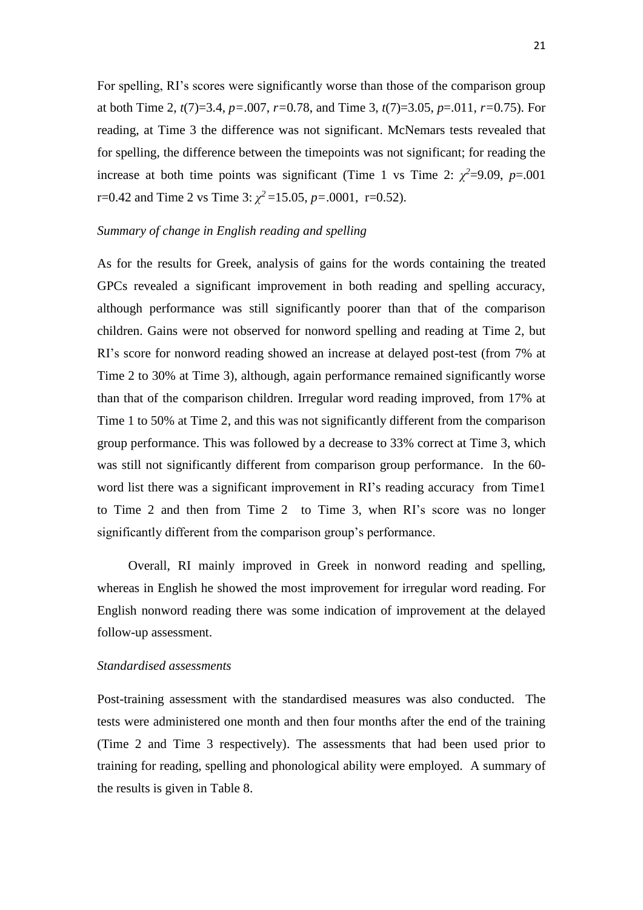For spelling, RI's scores were significantly worse than those of the comparison group at both Time 2, *t*(7)=3.4, *p=*.007, *r=*0*.*78, and Time 3, *t*(7)=3.05, *p*=.011, *r=*0*.*75). For reading, at Time 3 the difference was not significant. McNemars tests revealed that for spelling, the difference between the timepoints was not significant; for reading the increase at both time points was significant (Time 1 vs Time 2:  $\chi^2$ =9.09, *p*=.001  $r=0.42$  and Time 2 vs Time 3:  $\chi^2 = 15.05$ ,  $p=.0001$ ,  $r=0.52$ ).

# *Summary of change in English reading and spelling*

As for the results for Greek, analysis of gains for the words containing the treated GPCs revealed a significant improvement in both reading and spelling accuracy, although performance was still significantly poorer than that of the comparison children. Gains were not observed for nonword spelling and reading at Time 2, but RI's score for nonword reading showed an increase at delayed post-test (from 7% at Time 2 to 30% at Time 3), although, again performance remained significantly worse than that of the comparison children. Irregular word reading improved, from 17% at Time 1 to 50% at Time 2, and this was not significantly different from the comparison group performance. This was followed by a decrease to 33% correct at Time 3, which was still not significantly different from comparison group performance. In the 60 word list there was a significant improvement in RI's reading accuracy from Time1 to Time 2 and then from Time 2 to Time 3, when RI's score was no longer significantly different from the comparison group's performance.

Overall, RI mainly improved in Greek in nonword reading and spelling, whereas in English he showed the most improvement for irregular word reading. For English nonword reading there was some indication of improvement at the delayed follow-up assessment.

# *Standardised assessments*

Post-training assessment with the standardised measures was also conducted. The tests were administered one month and then four months after the end of the training (Time 2 and Time 3 respectively). The assessments that had been used prior to training for reading, spelling and phonological ability were employed. A summary of the results is given in Table 8.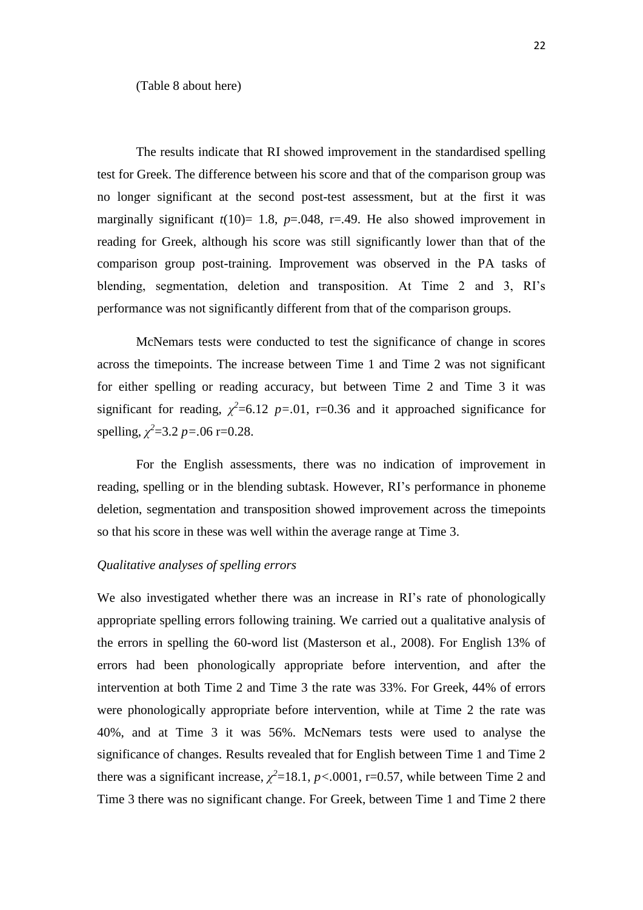(Table 8 about here)

The results indicate that RI showed improvement in the standardised spelling test for Greek. The difference between his score and that of the comparison group was no longer significant at the second post-test assessment, but at the first it was marginally significant  $t(10)= 1.8$ ,  $p=.048$ ,  $r=.49$ . He also showed improvement in reading for Greek, although his score was still significantly lower than that of the comparison group post-training. Improvement was observed in the PA tasks of blending, segmentation, deletion and transposition. At Time 2 and 3, RI's performance was not significantly different from that of the comparison groups.

McNemars tests were conducted to test the significance of change in scores across the timepoints. The increase between Time 1 and Time 2 was not significant for either spelling or reading accuracy, but between Time 2 and Time 3 it was significant for reading,  $\chi^2$ =6.12 *p*=.01, r=0.36 and it approached significance for spelling,  $\chi^2$ =3.2 *p*=.06 r=0.28.

For the English assessments, there was no indication of improvement in reading, spelling or in the blending subtask. However, RI's performance in phoneme deletion, segmentation and transposition showed improvement across the timepoints so that his score in these was well within the average range at Time 3.

# *Qualitative analyses of spelling errors*

We also investigated whether there was an increase in RI's rate of phonologically appropriate spelling errors following training. We carried out a qualitative analysis of the errors in spelling the 60-word list (Masterson et al., 2008). For English 13% of errors had been phonologically appropriate before intervention, and after the intervention at both Time 2 and Time 3 the rate was 33%. For Greek, 44% of errors were phonologically appropriate before intervention, while at Time 2 the rate was 40%, and at Time 3 it was 56%. McNemars tests were used to analyse the significance of changes. Results revealed that for English between Time 1 and Time 2 there was a significant increase,  $\chi^2$ =18.1, *p*<.0001, r=0.57, while between Time 2 and Time 3 there was no significant change. For Greek, between Time 1 and Time 2 there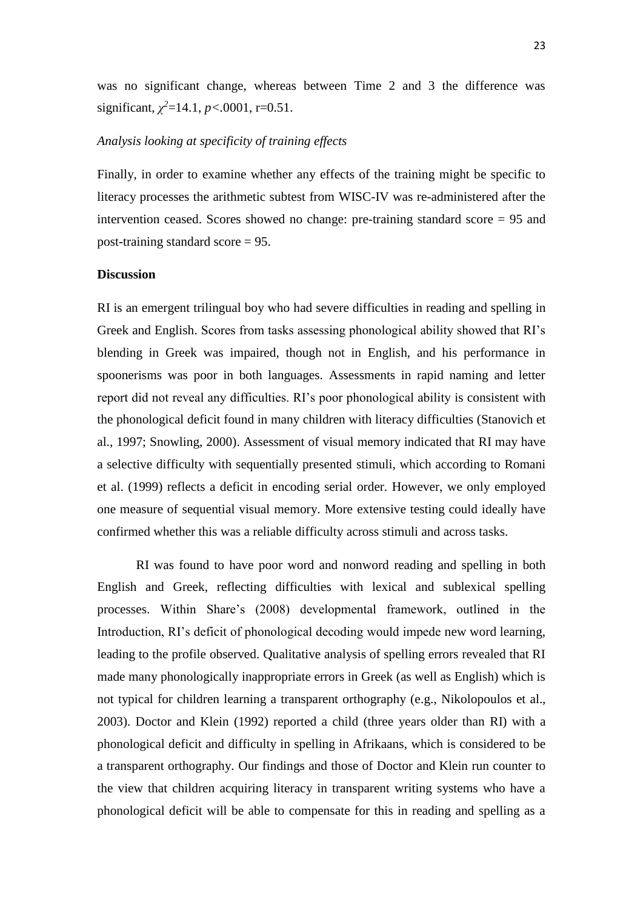was no significant change, whereas between Time 2 and 3 the difference was significant,  $\chi^2$ =14.1, *p*<.0001, r=0.51.

# *Analysis looking at specificity of training effects*

Finally, in order to examine whether any effects of the training might be specific to literacy processes the arithmetic subtest from WISC-IV was re-administered after the intervention ceased. Scores showed no change: pre-training standard score = 95 and post-training standard score = 95.

#### **Discussion**

RI is an emergent trilingual boy who had severe difficulties in reading and spelling in Greek and English. Scores from tasks assessing phonological ability showed that RI's blending in Greek was impaired, though not in English, and his performance in spoonerisms was poor in both languages. Assessments in rapid naming and letter report did not reveal any difficulties. RI's poor phonological ability is consistent with the phonological deficit found in many children with literacy difficulties (Stanovich et al., 1997; Snowling, 2000). Assessment of visual memory indicated that RI may have a selective difficulty with sequentially presented stimuli, which according to Romani et al. (1999) reflects a deficit in encoding serial order. However, we only employed one measure of sequential visual memory. More extensive testing could ideally have confirmed whether this was a reliable difficulty across stimuli and across tasks.

RI was found to have poor word and nonword reading and spelling in both English and Greek, reflecting difficulties with lexical and sublexical spelling processes. Within Share's (2008) developmental framework, outlined in the Introduction, RI's deficit of phonological decoding would impede new word learning, leading to the profile observed. Qualitative analysis of spelling errors revealed that RI made many phonologically inappropriate errors in Greek (as well as English) which is not typical for children learning a transparent orthography (e.g., Nikolopoulos et al., 2003). Doctor and Klein (1992) reported a child (three years older than RI) with a phonological deficit and difficulty in spelling in Afrikaans, which is considered to be a transparent orthography. Our findings and those of Doctor and Klein run counter to the view that children acquiring literacy in transparent writing systems who have a phonological deficit will be able to compensate for this in reading and spelling as a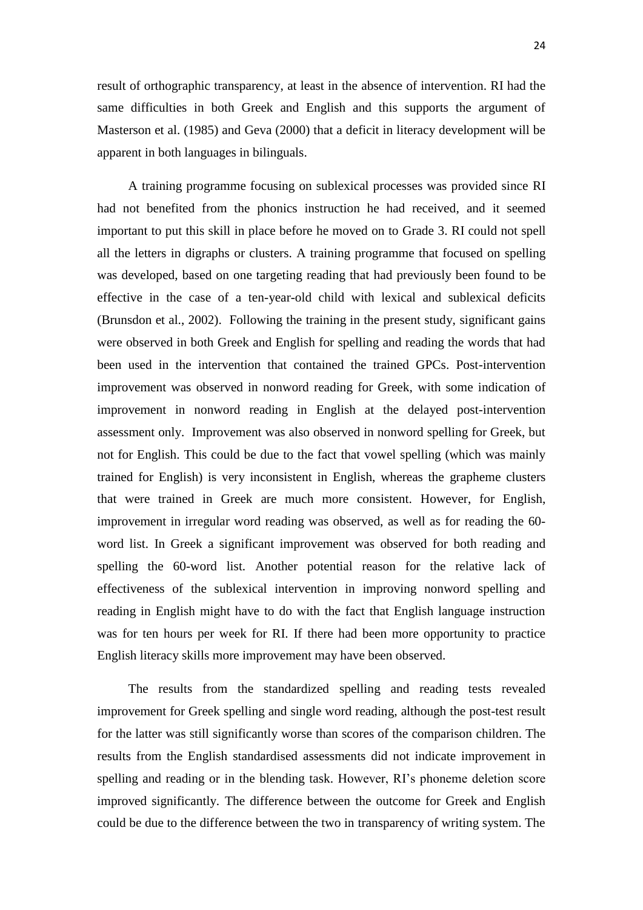result of orthographic transparency, at least in the absence of intervention. RI had the same difficulties in both Greek and English and this supports the argument of Masterson et al. (1985) and Geva (2000) that a deficit in literacy development will be apparent in both languages in bilinguals.

A training programme focusing on sublexical processes was provided since RI had not benefited from the phonics instruction he had received, and it seemed important to put this skill in place before he moved on to Grade 3. RI could not spell all the letters in digraphs or clusters. A training programme that focused on spelling was developed, based on one targeting reading that had previously been found to be effective in the case of a ten-year-old child with lexical and sublexical deficits (Brunsdon et al., 2002). Following the training in the present study, significant gains were observed in both Greek and English for spelling and reading the words that had been used in the intervention that contained the trained GPCs. Post-intervention improvement was observed in nonword reading for Greek, with some indication of improvement in nonword reading in English at the delayed post-intervention assessment only. Improvement was also observed in nonword spelling for Greek, but not for English. This could be due to the fact that vowel spelling (which was mainly trained for English) is very inconsistent in English, whereas the grapheme clusters that were trained in Greek are much more consistent. However, for English, improvement in irregular word reading was observed, as well as for reading the 60 word list. In Greek a significant improvement was observed for both reading and spelling the 60-word list. Another potential reason for the relative lack of effectiveness of the sublexical intervention in improving nonword spelling and reading in English might have to do with the fact that English language instruction was for ten hours per week for RI. If there had been more opportunity to practice English literacy skills more improvement may have been observed.

The results from the standardized spelling and reading tests revealed improvement for Greek spelling and single word reading, although the post-test result for the latter was still significantly worse than scores of the comparison children. The results from the English standardised assessments did not indicate improvement in spelling and reading or in the blending task. However, RI's phoneme deletion score improved significantly. The difference between the outcome for Greek and English could be due to the difference between the two in transparency of writing system. The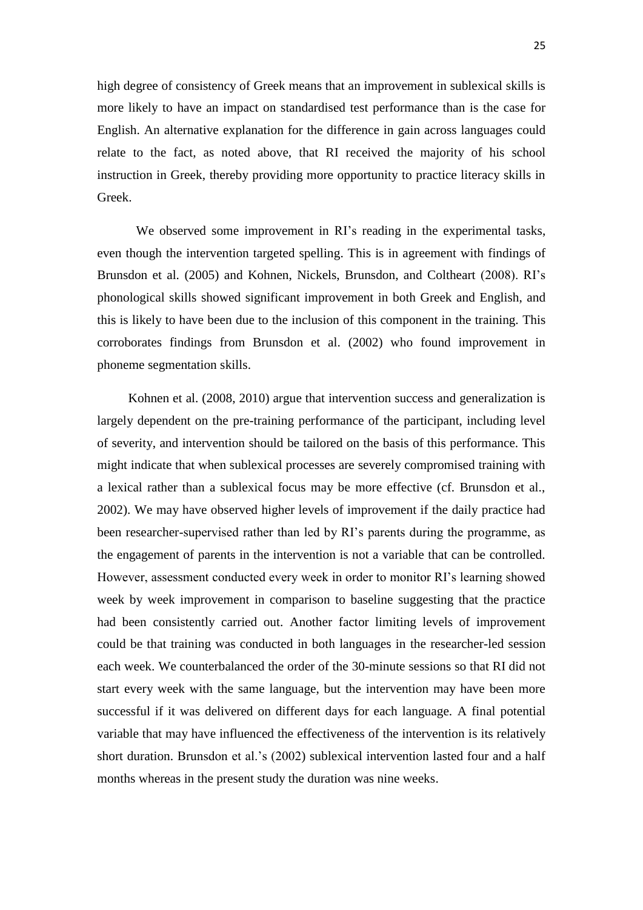high degree of consistency of Greek means that an improvement in sublexical skills is more likely to have an impact on standardised test performance than is the case for English. An alternative explanation for the difference in gain across languages could relate to the fact, as noted above, that RI received the majority of his school instruction in Greek, thereby providing more opportunity to practice literacy skills in Greek.

We observed some improvement in RI's reading in the experimental tasks, even though the intervention targeted spelling. This is in agreement with findings of Brunsdon et al. (2005) and Kohnen, Nickels, Brunsdon, and Coltheart (2008). RI's phonological skills showed significant improvement in both Greek and English, and this is likely to have been due to the inclusion of this component in the training. This corroborates findings from Brunsdon et al. (2002) who found improvement in phoneme segmentation skills.

Kohnen et al. (2008, 2010) argue that intervention success and generalization is largely dependent on the pre-training performance of the participant, including level of severity, and intervention should be tailored on the basis of this performance. This might indicate that when sublexical processes are severely compromised training with a lexical rather than a sublexical focus may be more effective (cf. Brunsdon et al., 2002). We may have observed higher levels of improvement if the daily practice had been researcher-supervised rather than led by RI's parents during the programme, as the engagement of parents in the intervention is not a variable that can be controlled. However, assessment conducted every week in order to monitor RI's learning showed week by week improvement in comparison to baseline suggesting that the practice had been consistently carried out. Another factor limiting levels of improvement could be that training was conducted in both languages in the researcher-led session each week. We counterbalanced the order of the 30-minute sessions so that RI did not start every week with the same language, but the intervention may have been more successful if it was delivered on different days for each language. A final potential variable that may have influenced the effectiveness of the intervention is its relatively short duration. Brunsdon et al.'s (2002) sublexical intervention lasted four and a half months whereas in the present study the duration was nine weeks.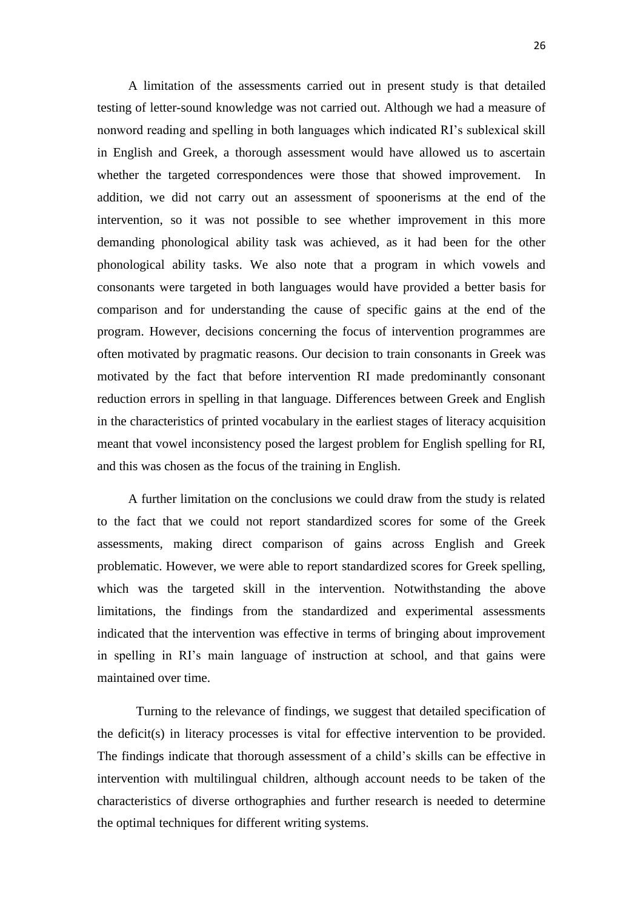A limitation of the assessments carried out in present study is that detailed testing of letter-sound knowledge was not carried out. Although we had a measure of nonword reading and spelling in both languages which indicated RI's sublexical skill in English and Greek, a thorough assessment would have allowed us to ascertain whether the targeted correspondences were those that showed improvement. In addition, we did not carry out an assessment of spoonerisms at the end of the intervention, so it was not possible to see whether improvement in this more demanding phonological ability task was achieved, as it had been for the other phonological ability tasks. We also note that a program in which vowels and consonants were targeted in both languages would have provided a better basis for comparison and for understanding the cause of specific gains at the end of the program. However, decisions concerning the focus of intervention programmes are often motivated by pragmatic reasons. Our decision to train consonants in Greek was motivated by the fact that before intervention RI made predominantly consonant reduction errors in spelling in that language. Differences between Greek and English in the characteristics of printed vocabulary in the earliest stages of literacy acquisition meant that vowel inconsistency posed the largest problem for English spelling for RI, and this was chosen as the focus of the training in English.

A further limitation on the conclusions we could draw from the study is related to the fact that we could not report standardized scores for some of the Greek assessments, making direct comparison of gains across English and Greek problematic. However, we were able to report standardized scores for Greek spelling, which was the targeted skill in the intervention. Notwithstanding the above limitations, the findings from the standardized and experimental assessments indicated that the intervention was effective in terms of bringing about improvement in spelling in RI's main language of instruction at school, and that gains were maintained over time.

Turning to the relevance of findings, we suggest that detailed specification of the deficit(s) in literacy processes is vital for effective intervention to be provided. The findings indicate that thorough assessment of a child's skills can be effective in intervention with multilingual children, although account needs to be taken of the characteristics of diverse orthographies and further research is needed to determine the optimal techniques for different writing systems.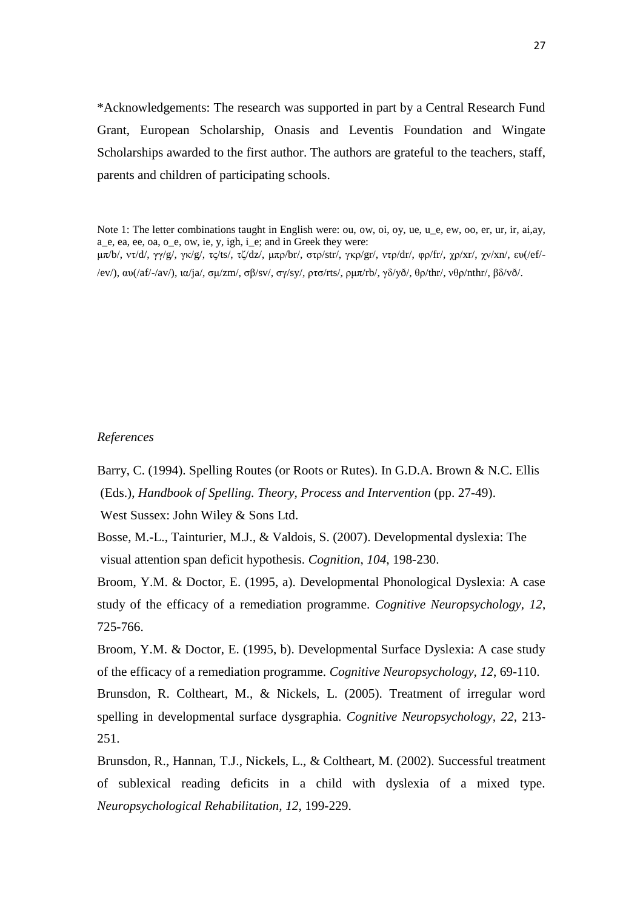\*Acknowledgements: The research was supported in part by a Central Research Fund Grant, European Scholarship, Onasis and Leventis Foundation and Wingate Scholarships awarded to the first author. The authors are grateful to the teachers, staff, parents and children of participating schools.

Note 1: The letter combinations taught in English were: ou, ow, oi, oy, ue, u\_e, ew, oo, er, ur, ir, ai,ay, a\_e, ea, ee, oa, o\_e, ow, ie, y, igh, i\_e; and in Greek they were: μπ/b/, ντ/d/, γγ/g/, γκ/g/, τς/ts/, τζ/dz/, μπρ/br/, στρ/str/, γκρ/gr/, ντρ/dr/, φρ/fr/, χρ/xr/, χν/xn/, ευ(/ef/- /ev/), αυ(/af/-/av/), ια/ja/, σμ/zm/, σβ/sv/, σγ/sy/, ρτσ/rts/, ρμπ/rb/, γδ/yð/, θρ/thr/, νθρ/nthr/, βδ/vð/.

# *References*

Barry, C. (1994). Spelling Routes (or Roots or Rutes). In G.D.A. Brown & N.C. Ellis (Eds.), *Handbook of Spelling. Theory, Process and Intervention* (pp. 27-49).

West Sussex: John Wiley & Sons Ltd.

Bosse, M.-L., Tainturier, M.J., & Valdois, S. (2007). Developmental dyslexia: The visual attention span deficit hypothesis*. Cognition*, *104*, 198-230.

Broom, Y.M. & Doctor, E. (1995, a). Developmental Phonological Dyslexia: A case study of the efficacy of a remediation programme. *Cognitive Neuropsychology, 12*, 725-766.

Broom, Y.M. & Doctor, E. (1995, b). Developmental Surface Dyslexia: A case study of the efficacy of a remediation programme. *Cognitive Neuropsychology, 12*, 69-110. Brunsdon, R. Coltheart, M., & Nickels, L. (2005). Treatment of irregular word spelling in developmental surface dysgraphia. *Cognitive Neuropsychology, 22*, 213- 251.

Brunsdon, R., Hannan, T.J., Nickels, L., & Coltheart, M. (2002). Successful treatment of sublexical reading deficits in a child with dyslexia of a mixed type. *Neuropsychological Rehabilitation, 12*, 199-229.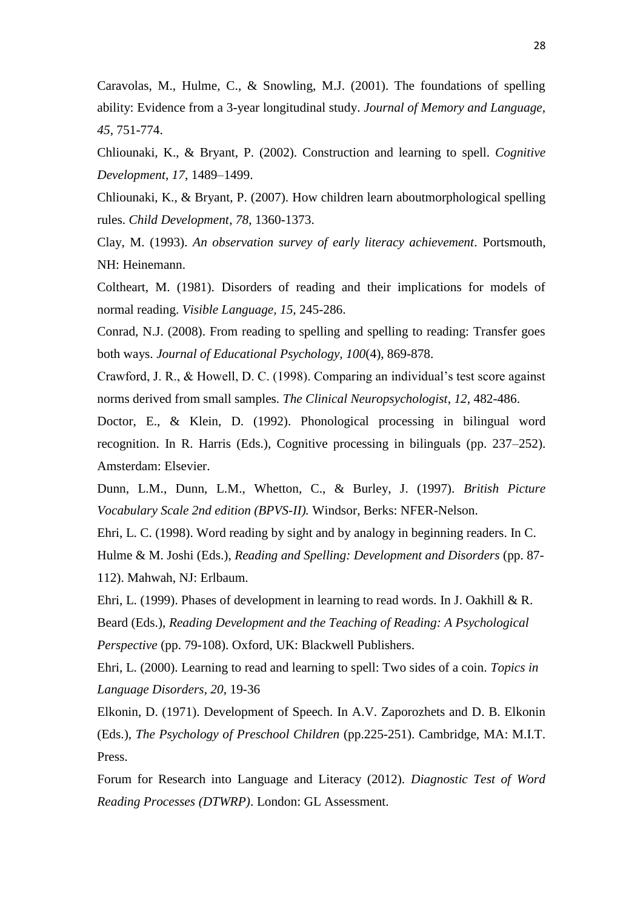Caravolas, M., Hulme, C., & Snowling, M.J. (2001). The foundations of spelling ability: Evidence from a 3-year longitudinal study. *Journal of Memory and Language, 45,* 751-774.

Chliounaki, K., & Bryant, P. (2002). Construction and learning to spell. *Cognitive Development*, *17*, 1489–1499.

Chliounaki, K., & Bryant, P. (2007). How children learn aboutmorphological spelling rules. *Child Development*, *78*, 1360-1373.

Clay, M. (1993). *An observation survey of early literacy achievement*. Portsmouth, NH: Heinemann.

Coltheart, M. (1981). Disorders of reading and their implications for models of normal reading. *Visible Language, 15,* 245-286.

Conrad, N.J. (2008). From reading to spelling and spelling to reading: Transfer goes both ways. *Journal of Educational Psychology, 100*(4), 869-878.

Crawford, J. R., & Howell, D. C. (1998). Comparing an individual's test score against norms derived from small samples. *The Clinical Neuropsychologist*, *12*, 482-486.

Doctor, E., & Klein, D. (1992). Phonological processing in bilingual word recognition. In R. Harris (Eds.), Cognitive processing in bilinguals (pp. 237–252). Amsterdam: Elsevier.

Dunn, L.M., Dunn, L.M., Whetton, C., & Burley, J. (1997). *British Picture Vocabulary Scale 2nd edition (BPVS-II).* Windsor, Berks: NFER-Nelson.

Ehri, L. C. (1998). Word reading by sight and by analogy in beginning readers. In C. Hulme & M. Joshi (Eds.), *Reading and Spelling: Development and Disorders* (pp. 87- 112). Mahwah, NJ: Erlbaum.

Ehri, L. (1999). Phases of development in learning to read words. In J. Oakhill & R. Beard (Eds.), *Reading Development and the Teaching of Reading: A Psychological Perspective* (pp. 79-108). Oxford, UK: Blackwell Publishers.

Ehri, L. (2000). Learning to read and learning to spell: Two sides of a coin. *Topics in Language Disorders, 20*, 19-36

Elkonin, D. (1971). Development of Speech. In A.V. Zaporozhets and D. B. Elkonin (Eds.), *The Psychology of Preschool Children* (pp.225-251). Cambridge, MA: M.I.T. Press.

Forum for Research into Language and Literacy (2012). *Diagnostic Test of Word Reading Processes (DTWRP)*. London: GL Assessment.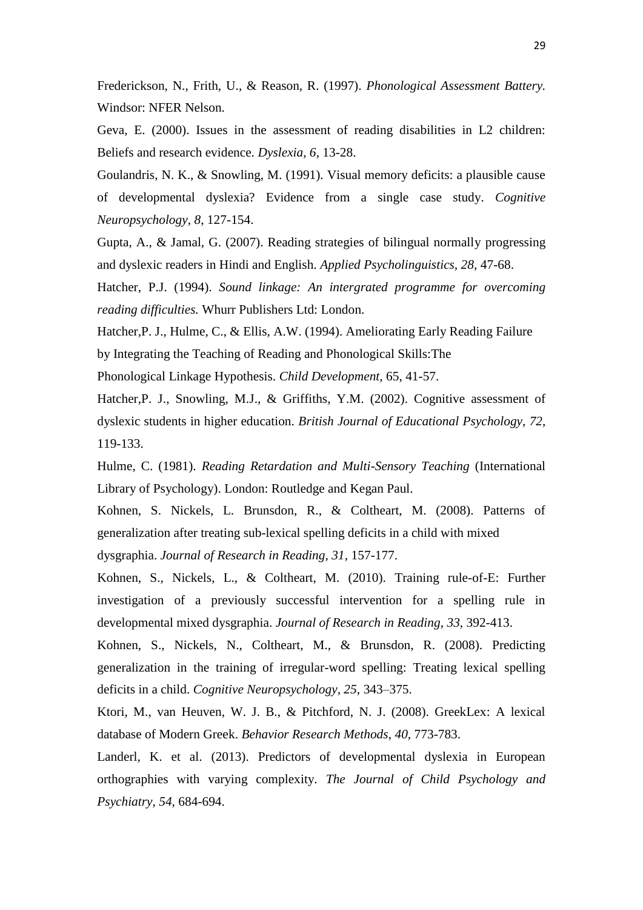Frederickson, N., Frith, U., & Reason, R. (1997). *Phonological Assessment Battery.*  Windsor: NFER Nelson.

Geva, E. (2000). Issues in the assessment of reading disabilities in L2 children: Beliefs and research evidence. *Dyslexia, 6*, 13-28.

Goulandris, N. K., & Snowling, M. (1991). Visual memory deficits: a plausible cause of developmental dyslexia? Evidence from a single case study. *Cognitive Neuropsychology, 8*, 127-154.

Gupta, A., & Jamal, G. (2007). Reading strategies of bilingual normally progressing and dyslexic readers in Hindi and English. *Applied Psycholinguistics, 28*, 47-68.

Hatcher, P.J. (1994). *Sound linkage: An intergrated programme for overcoming reading difficulties.* Whurr Publishers Ltd: London.

Hatcher,P. J., Hulme, C., & Ellis, A.W. (1994). Ameliorating Early Reading Failure by Integrating the Teaching of Reading and Phonological Skills:The Phonological Linkage Hypothesis. *Child Development,* 65, 41-57.

Hatcher,P. J., Snowling, M.J., & Griffiths, Y.M. (2002). Cognitive assessment of dyslexic students in higher education. *British Journal of Educational Psychology*, *72*, 119-133.

Hulme, C. (1981). *Reading Retardation and Multi-Sensory Teaching* (International Library of Psychology). London: Routledge and Kegan Paul.

Kohnen, S. Nickels, L. Brunsdon, R., & Coltheart, M. (2008). Patterns of generalization after treating sub-lexical spelling deficits in a child with mixed

dysgraphia. *Journal of Research in Reading, 31*, 157-177.

Kohnen, S., Nickels, L., & Coltheart, M. (2010). Training rule-of-E: Further investigation of a previously successful intervention for a spelling rule in developmental mixed dysgraphia. *Journal of Research in Reading*, *33*, 392-413.

Kohnen, S., Nickels, N., Coltheart, M., & Brunsdon, R. (2008). Predicting generalization in the training of irregular-word spelling: Treating lexical spelling deficits in a child. *Cognitive Neuropsychology, 25*, 343–375.

Ktori, M., van Heuven, W. J. B., & Pitchford, N. J. (2008). GreekLex: A lexical database of Modern Greek. *Behavior Research Methods*, *40*, 773-783.

Landerl, K. et al. (2013). Predictors of developmental dyslexia in European orthographies with varying complexity. *The Journal of Child Psychology and Psychiatry, 54,* 684-694.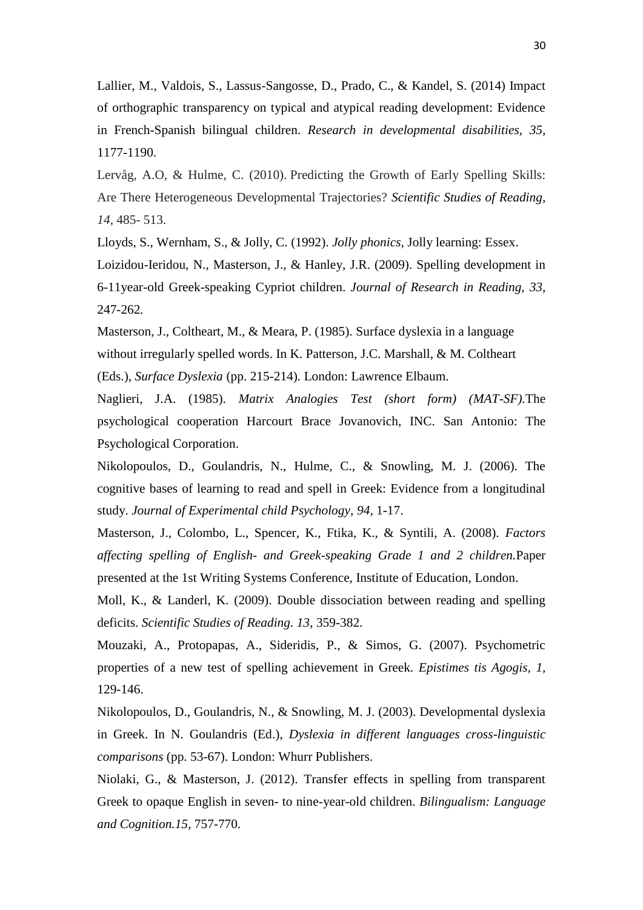Lallier, M., Valdois, S., Lassus-Sangosse, D., Prado, C., & Kandel, S. (2014) Impact of orthographic transparency on typical and atypical reading development: Evidence in French-Spanish bilingual children. *Research in developmental disabilities, 35,* 1177-1190.

Lervåg, A.O, & Hulme, C. (2010). Predicting the Growth of Early Spelling Skills: Are There Heterogeneous Developmental Trajectories? *Scientific Studies of Reading, 14*, 485- 513.

Lloyds, S., Wernham, S., & Jolly, C. (1992). *Jolly phonics,* Jolly learning: Essex. Loizidou-Ieridou, N., Masterson, J., & Hanley, J.R. (2009). Spelling development in 6-11year-old Greek-speaking Cypriot children. *Journal of Research in Reading, 33,*  247-262*.*

Masterson, J., Coltheart, M., & Meara, P. (1985). Surface dyslexia in a language without irregularly spelled words. In K. Patterson, J.C. Marshall, & M. Coltheart (Eds.), *Surface Dyslexia* (pp. 215-214)*.* London: Lawrence Elbaum.

Naglieri, J.A. (1985). *Matrix Analogies Test (short form) (MAT-SF).*The psychological cooperation Harcourt Brace Jovanovich, INC. San Antonio: The Psychological Corporation.

Nikolopoulos, D., Goulandris, N., Hulme, C., & Snowling, M. J. (2006). The cognitive bases of learning to read and spell in Greek: Evidence from a longitudinal study. *Journal of Experimental child Psychology*, *94,* 1-17.

Masterson, J., Colombo, L., Spencer, K., Ftika, K., & Syntili, A. (2008). *Factors affecting spelling of English- and Greek-speaking Grade 1 and 2 children.*Paper presented at the 1st Writing Systems Conference, Institute of Education, London.

Moll, K., & Landerl, K. (2009). Double dissociation between reading and spelling deficits. *Scientific Studies of Reading. 13*, 359-382.

Mouzaki, A., Protopapas, A., Sideridis, P., & Simos, G. (2007). Psychometric properties of a new test of spelling achievement in Greek. *Epistimes tis Agogis, 1,*  129-146.

Nikolopoulos, D., Goulandris, N., & Snowling, M. J. (2003). Developmental dyslexia in Greek. In N. Goulandris (Ed.), *Dyslexia in different languages cross-linguistic comparisons* (pp. 53-67). London: Whurr Publishers.

Niolaki, G., & Masterson, J. (2012). Transfer effects in spelling from transparent Greek to opaque English in seven- to nine-year-old children. *Bilingualism: Language and Cognition.15*, 757-770.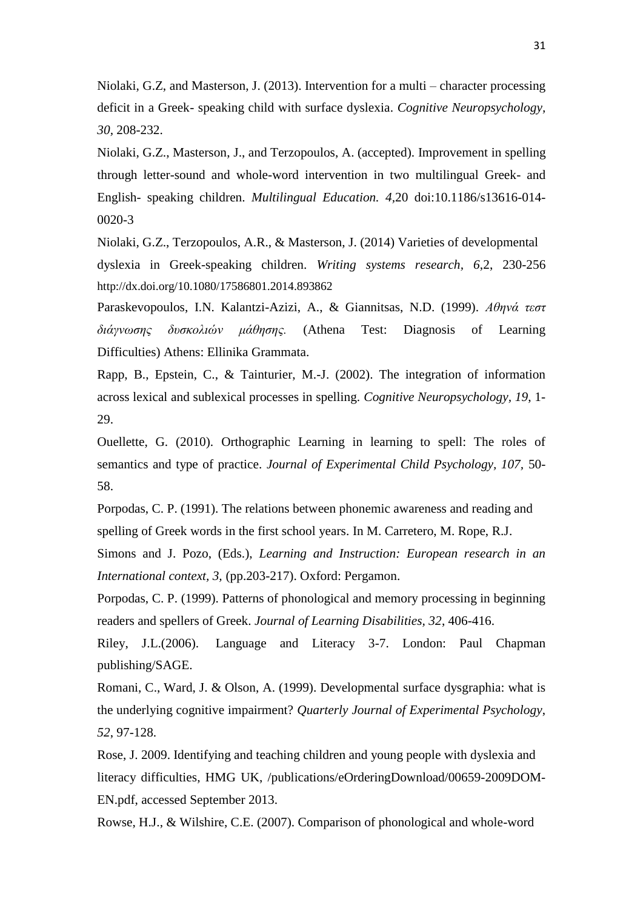Niolaki, G.Z, and Masterson, J. (2013). Intervention for a multi – character processing deficit in a Greek- speaking child with surface dyslexia. *Cognitive Neuropsychology, 30,* 208-232.

Niolaki, G.Z., Masterson, J., and Terzopoulos, A. (accepted). Improvement in spelling through letter-sound and whole-word intervention in two multilingual Greek- and English- speaking children. *Multilingual Education. 4,*20 doi:10.1186/s13616-014- 0020-3

Niolaki, G.Z., Terzopoulos, A.R., & Masterson, J. (2014) Varieties of developmental dyslexia in Greek-speaking children. *Writing systems research, 6*,2, 230-256 <http://dx.doi.org/10.1080/17586801.2014.893862>

Paraskevopoulos, I.N. Kalantzi-Azizi, A., & Giannitsas, N.D. (1999). *Αθηνά τεστ διάγνωσης δυσκολιών μάθησης.* (Athena Test: Diagnosis of Learning Difficulties) Athens: Ellinika Grammata.

Rapp, B., Epstein, C., & Tainturier, M.-J. (2002). The integration of information across lexical and sublexical processes in spelling. *Cognitive Neuropsychology, 19*, 1- 29.

Ouellette, G. (2010). Orthographic Learning in learning to spell: The roles of semantics and type of practice. *Journal of Experimental Child Psychology, 107,* 50- 58.

Porpodas, C. P. (1991). The relations between phonemic awareness and reading and spelling of Greek words in the first school years. In M. Carretero, M. Rope, R.J.

Simons and J. Pozo, (Eds.), *Learning and Instruction: European research in an International context, 3,* (pp.203-217). Oxford: Pergamon.

Porpodas, C. P. (1999). Patterns of phonological and memory processing in beginning readers and spellers of Greek. *Journal of Learning Disabilities, 32*, 406-416.

Riley, J.L.(2006). Language and Literacy 3-7. London: Paul Chapman publishing/SAGE.

Romani, C., Ward, J. & Olson, A. (1999). Developmental surface dysgraphia: what is the underlying cognitive impairment? *Quarterly Journal of Experimental Psychology*, *52*, 97-128.

Rose, J. 2009. Identifying and teaching children and young people with dyslexia and literacy difficulties, HMG UK, /publications/eOrderingDownload/00659-2009DOM-EN.pdf, accessed September 2013.

Rowse, H.J., & Wilshire, C.E. (2007). Comparison of phonological and whole-word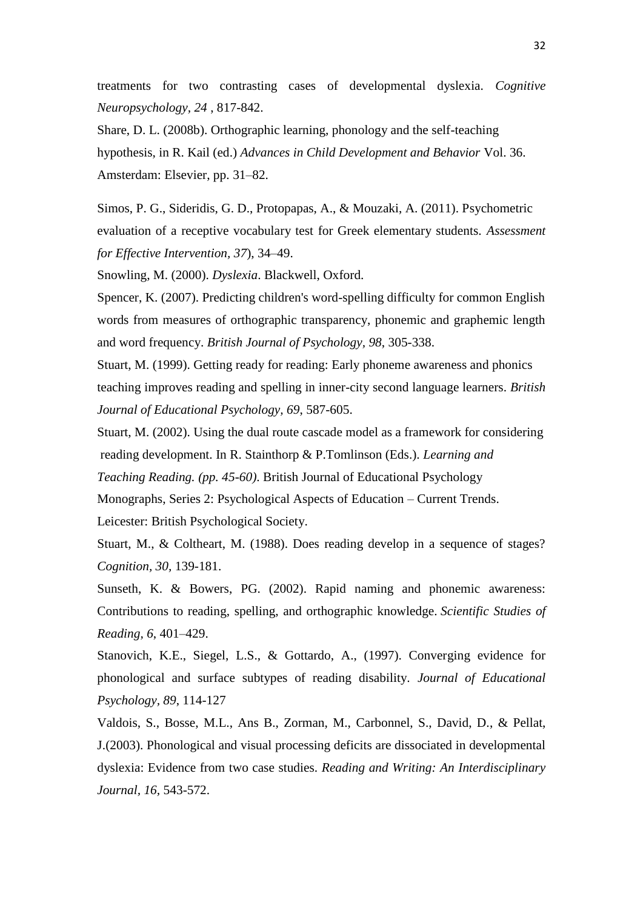treatments for two contrasting cases of developmental dyslexia. *Cognitive Neuropsychology, 24* , 817-842.

Share, D. L. (2008b). Orthographic learning, phonology and the self-teaching hypothesis, in R. Kail (ed.) *Advances in Child Development and Behavior* Vol. 36. Amsterdam: Elsevier, pp. 31–82.

Simos, P. G., Sideridis, G. D., Protopapas, A., & Mouzaki, A. (2011). Psychometric evaluation of a receptive vocabulary test for Greek elementary students. *Assessment for Effective Intervention, 37*), 34–49.

Snowling, M. (2000). *Dyslexia*. Blackwell, Oxford.

Spencer, K. (2007). Predicting children's word-spelling difficulty for common English words from measures of orthographic transparency, phonemic and graphemic length and word frequency. *British Journal of Psychology, 98*, 305-338.

Stuart, M. (1999). Getting ready for reading: Early phoneme awareness and phonics teaching improves reading and spelling in inner-city second language learners. *British Journal of Educational Psychology, 69*, 587-605.

Stuart, M. (2002). Using the dual route cascade model as a framework for considering reading development. In R. Stainthorp & P.Tomlinson (Eds.). *Learning and*

*Teaching Reading. (pp. 45-60)*. British Journal of Educational Psychology

Monographs, Series 2: Psychological Aspects of Education – Current Trends.

Leicester: British Psychological Society.

Stuart, M., & Coltheart, M. (1988). Does reading develop in a sequence of stages? *Cognition, 30,* 139-181.

Sunseth, K. & Bowers, PG. (2002). Rapid naming and phonemic awareness: Contributions to reading, spelling, and orthographic knowledge. *Scientific Studies of Reading, 6*, 401–429.

Stanovich, K.E., Siegel, L.S., & Gottardo, A., (1997). Converging evidence for phonological and surface subtypes of reading disability. *Journal of Educational Psychology, 89*, 114-127

Valdois, S., Bosse, M.L., Ans B., Zorman, M., Carbonnel, S., David, D., & Pellat, J.(2003). Phonological and visual processing deficits are dissociated in developmental dyslexia: Evidence from two case studies. *Reading and Writing: An Interdisciplinary Journal, 16,* 543-572.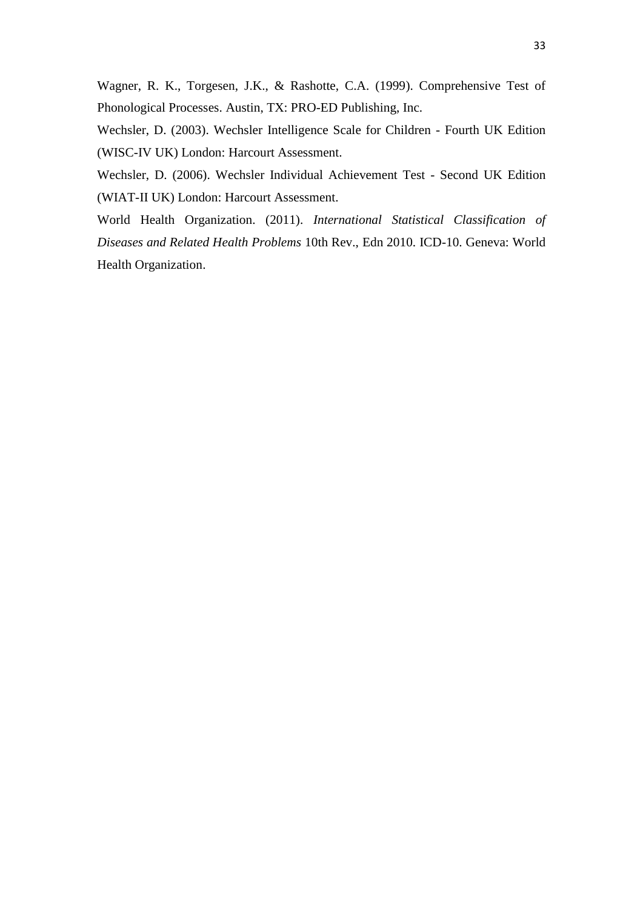Wagner, R. K., Torgesen, J.K., & Rashotte, C.A. (1999). Comprehensive Test of Phonological Processes. Austin, TX: PRO-ED Publishing, Inc.

Wechsler, D. (2003). Wechsler Intelligence Scale for Children - Fourth UK Edition (WISC-IV UK) London: Harcourt Assessment.

Wechsler, D. (2006). Wechsler Individual Achievement Test - Second UK Edition (WIAT-II UK) London: Harcourt Assessment.

World Health Organization. (2011). *International Statistical Classification of Diseases and Related Health Problems* 10th Rev., Edn 2010. ICD-10. Geneva: World Health Organization.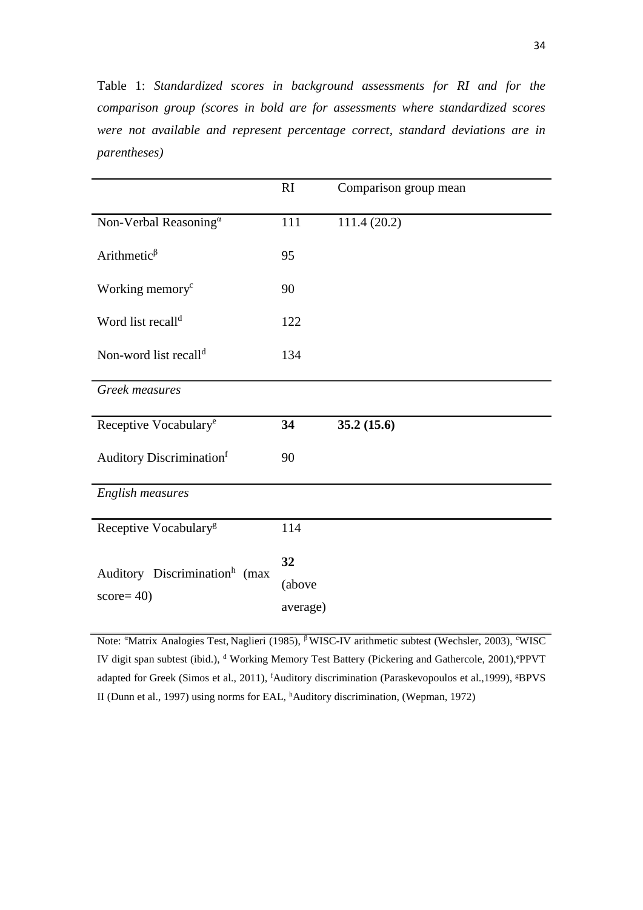Table 1: *Standardized scores in background assessments for RI and for the comparison group (scores in bold are for assessments where standardized scores were not available and represent percentage correct, standard deviations are in parentheses)* 

|                                                           | RI                       | Comparison group mean |
|-----------------------------------------------------------|--------------------------|-----------------------|
| Non-Verbal Reasoning <sup>a</sup>                         | 111                      | 111.4 (20.2)          |
| Arithmetic $\beta$                                        | 95                       |                       |
| Working memory <sup>c</sup>                               | 90                       |                       |
| Word list recall <sup>d</sup>                             | 122                      |                       |
| Non-word list recall <sup>d</sup>                         | 134                      |                       |
| Greek measures                                            |                          |                       |
| Receptive Vocabulary <sup>e</sup>                         | 34                       | 35.2(15.6)            |
| Auditory Discrimination <sup>f</sup>                      | 90                       |                       |
| English measures                                          |                          |                       |
| Receptive Vocabulary <sup>g</sup>                         | 114                      |                       |
| Auditory Discrimination <sup>h</sup> (max<br>$score = 40$ | 32<br>(above<br>average) |                       |

Note: "Matrix Analogies Test, Naglieri (1985), <sup>β</sup>WISC-IV arithmetic subtest (Wechsler, 2003), <sup>c</sup>WISC IV digit span subtest (ibid.), d Working Memory Test Battery (Pickering and Gathercole, 2001), ePPVT adapted for Greek (Simos et al., 2011), <sup>f</sup>Auditory discrimination (Paraskevopoulos et al., 1999), <sup>g</sup>BPVS II (Dunn et al., 1997) using norms for EAL, <sup>h</sup>Auditory discrimination, (Wepman, 1972)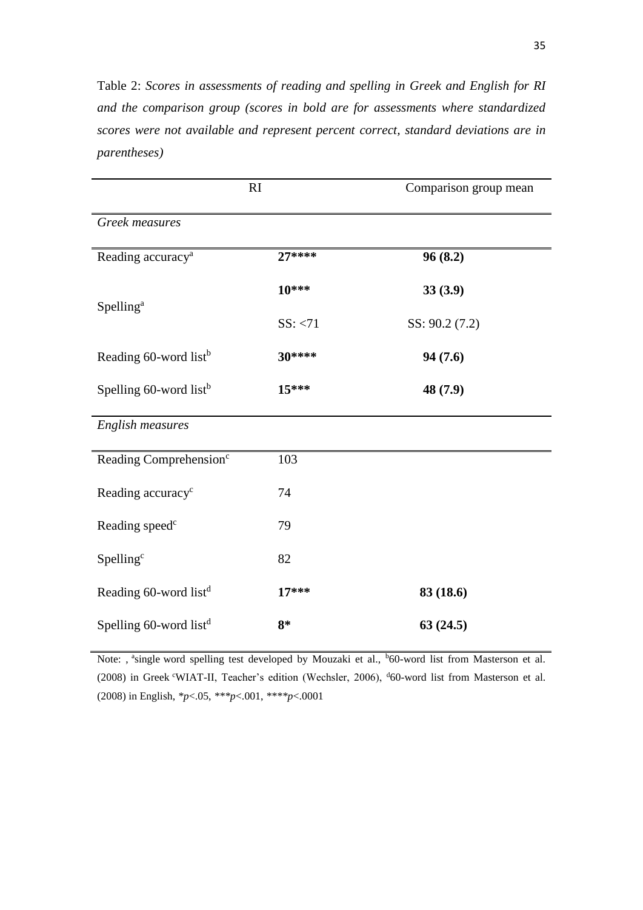Table 2: *Scores in assessments of reading and spelling in Greek and English for RI and the comparison group (scores in bold are for assessments where standardized scores were not available and represent percent correct, standard deviations are in parentheses)*

| RI                                 |          | Comparison group mean |  |
|------------------------------------|----------|-----------------------|--|
| Greek measures                     |          |                       |  |
| Reading accuracy <sup>a</sup>      | $27***$  | 96(8.2)               |  |
|                                    | 10***    | 33(3.9)               |  |
| Spelling <sup>a</sup>              | SS: < 71 | SS: 90.2 (7.2)        |  |
| Reading 60-word list <sup>b</sup>  | 30****   | 94(7.6)               |  |
| Spelling 60-word list <sup>b</sup> | $15***$  | 48 (7.9)              |  |
| English measures                   |          |                       |  |
| Reading Comprehension <sup>c</sup> | 103      |                       |  |
| Reading accuracy <sup>c</sup>      | 74       |                       |  |
| Reading speed <sup>c</sup>         | 79       |                       |  |
| Spelling <sup>c</sup>              | 82       |                       |  |
| Reading 60-word list <sup>d</sup>  | $17***$  | 83 (18.6)             |  |
| Spelling 60-word list <sup>d</sup> | $8*$     | 63(24.5)              |  |

Note: , <sup>a</sup>single word spelling test developed by Mouzaki et al., <sup>b</sup>60-word list from Masterson et al. (2008) in Greek <sup>c</sup>WIAT-II, Teacher's edition (Wechsler, 2006), <sup>d</sup>60-word list from Masterson et al. (2008) in English, *\*p*<.05, *\*\*\*p*<.001, *\*\*\*\*p*<.0001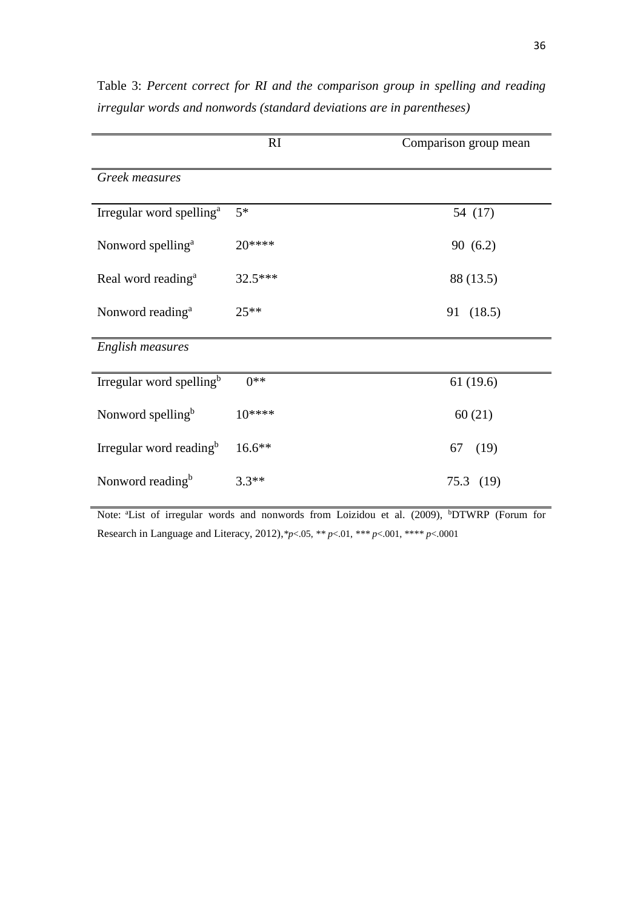|                                      | RI       | Comparison group mean |  |  |
|--------------------------------------|----------|-----------------------|--|--|
| Greek measures                       |          |                       |  |  |
| Irregular word spelling <sup>a</sup> | $5*$     | 54 (17)               |  |  |
| Nonword spelling <sup>a</sup>        | $20***$  | 90(6.2)               |  |  |
| Real word reading <sup>a</sup>       | 32.5***  | 88 (13.5)             |  |  |
| Nonword reading <sup>a</sup>         | $25**$   | 91 (18.5)             |  |  |
| English measures                     |          |                       |  |  |
| Irregular word spelling <sup>b</sup> | $0**$    | 61(19.6)              |  |  |
| Nonword spelling <sup>b</sup>        | $10***$  | 60(21)                |  |  |
| Irregular word reading <sup>b</sup>  | $16.6**$ | (19)<br>67            |  |  |
| Nonword reading <sup>b</sup>         | $3.3**$  | 75.3(19)              |  |  |

Table 3: *Percent correct for RI and the comparison group in spelling and reading irregular words and nonwords (standard deviations are in parentheses)* 

Note: <sup>a</sup>List of irregular words and nonwords from Loizidou et al. (2009), <sup>b</sup>DTWRP (Forum for Research in Language and Literacy, 2012),*\*p*<.05, *\*\* p*<.01, *\*\*\* p*<.001, \*\**\*\* p*<.0001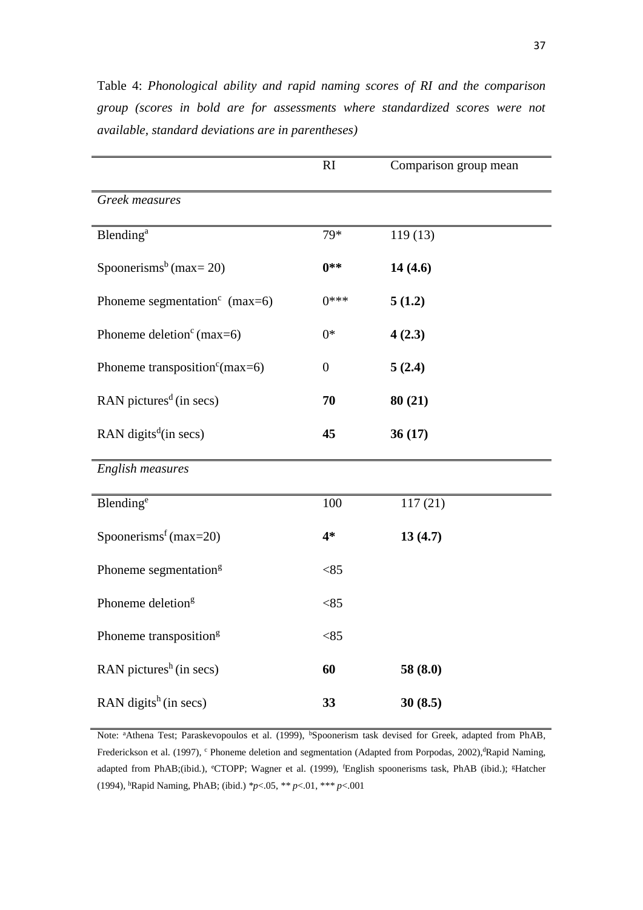|                                                  | RI               | Comparison group mean |
|--------------------------------------------------|------------------|-----------------------|
| Greek measures                                   |                  |                       |
| <b>Blending</b> <sup>a</sup>                     | 79*              | 119(13)               |
| Spoonerisms <sup>b</sup> (max= 20)               | $0**$            | 14(4.6)               |
| Phoneme segmentation <sup>c</sup> (max=6)        | $0***$           | 5(1.2)                |
| Phoneme deletion <sup>c</sup> (max=6)            | $0*$             | 4(2.3)                |
| Phoneme transposition <sup>c</sup> (max=6)       | $\boldsymbol{0}$ | 5(2.4)                |
| RAN pictures <sup><math>d</math></sup> (in secs) | 70               | 80(21)                |
| RAN digits <sup><math>d</math></sup> (in secs)   | 45               | 36(17)                |
| <b>English measures</b>                          |                  |                       |
| Blending <sup>e</sup>                            | 100              | 117(21)               |
| Spoonerisms <sup>f</sup> (max=20)                | $4*$             | 13(4.7)               |
| Phoneme segmentation <sup>g</sup>                | < 85             |                       |
| Phoneme deletion <sup>g</sup>                    | < 85             |                       |
| Phoneme transposition <sup>g</sup>               | < 85             |                       |
| RAN pictures <sup>h</sup> (in secs)              | 60               | 58 (8.0)              |
| RAN digits <sup>h</sup> (in secs)                | 33               | 30(8.5)               |

Table 4: *Phonological ability and rapid naming scores of RI and the comparison group (scores in bold are for assessments where standardized scores were not available, standard deviations are in parentheses)* 

Note: <sup>a</sup>Athena Test; Paraskevopoulos et al. (1999), <sup>b</sup>Spoonerism task devised for Greek, adapted from PhAB, Frederickson et al. (1997), <sup>c</sup> Phoneme deletion and segmentation (Adapted from Porpodas, 2002), Rapid Naming, adapted from PhAB;(ibid.), <sup>e</sup>CTOPP; Wagner et al. (1999), <sup>f</sup>English spoonerisms task, PhAB (ibid.); <sup>g</sup>Hatcher (1994), <sup>h</sup>Rapid Naming, PhAB; (ibid.) *\*p*<.05, *\*\* p*<.01, \**\*\* p*<.001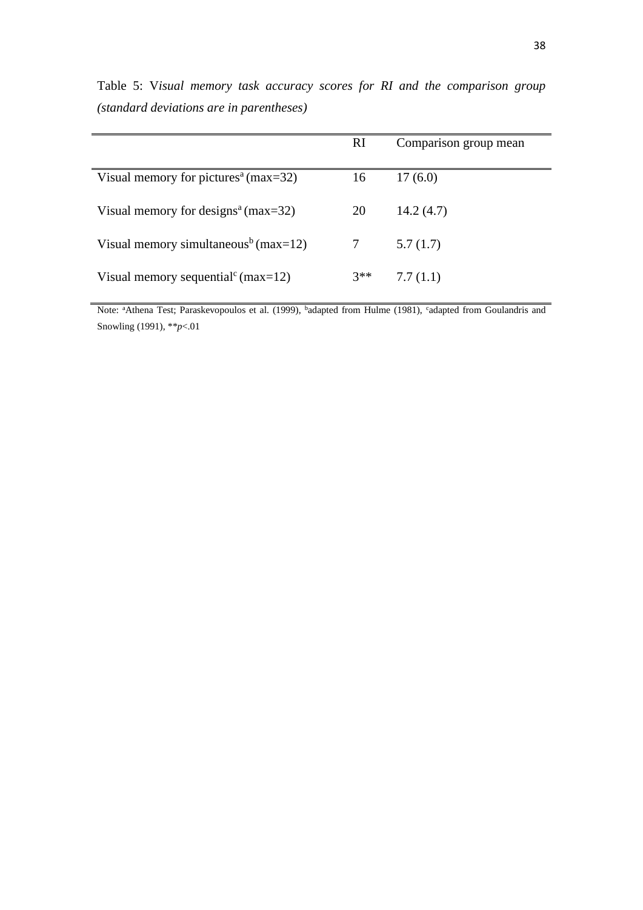|                                                  | <sub>RI</sub> | Comparison group mean |
|--------------------------------------------------|---------------|-----------------------|
| Visual memory for pictures <sup>a</sup> (max=32) | 16            | 17(6.0)               |
| Visual memory for designs <sup>a</sup> (max=32)  | 20            | 14.2(4.7)             |
| Visual memory simultaneous <sup>b</sup> (max=12) | 7             | 5.7(1.7)              |
| Visual memory sequential <sup>c</sup> (max=12)   | $3**$         | 7.7(1.1)              |

Table 5: V*isual memory task accuracy scores for RI and the comparison group (standard deviations are in parentheses)* 

Note: <sup>a</sup>Athena Test; Paraskevopoulos et al. (1999), <sup>b</sup>adapted from Hulme (1981), <sup>c</sup>adapted from Goulandris and Snowling (1991), \**\*p*<.01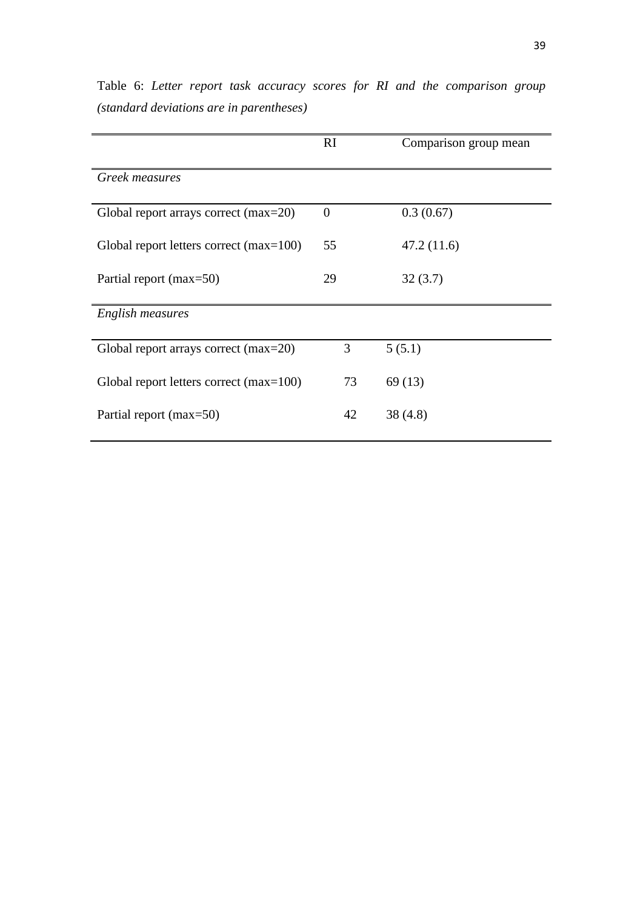|                                           | RI       | Comparison group mean |
|-------------------------------------------|----------|-----------------------|
| Greek measures                            |          |                       |
| Global report arrays correct (max=20)     | $\theta$ | 0.3(0.67)             |
| Global report letters correct $(max=100)$ | 55       | 47.2(11.6)            |
| Partial report (max=50)                   | 29       | 32(3.7)               |
| English measures                          |          |                       |
| Global report arrays correct (max=20)     | 3        | 5(5.1)                |
| Global report letters correct $(max=100)$ | 73       | 69(13)                |
| Partial report (max=50)                   | 42       | 38 (4.8)              |

Table 6: *Letter report task accuracy scores for RI and the comparison group (standard deviations are in parentheses)*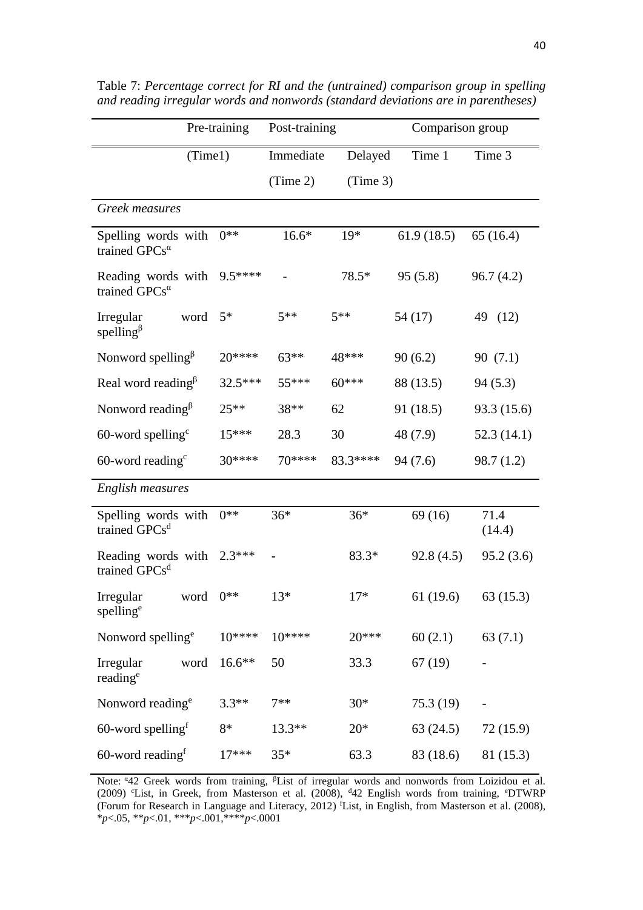|                                                             | Pre-training | Post-training |          | Comparison group |                |
|-------------------------------------------------------------|--------------|---------------|----------|------------------|----------------|
| (Time1)                                                     |              | Immediate     | Delayed  | Time 1           | Time 3         |
|                                                             |              | (Time 2)      | (Time 3) |                  |                |
| Greek measures                                              |              |               |          |                  |                |
| Spelling words with<br>trained GPCs <sup>a</sup>            | $0**$        | $16.6*$       | $19*$    | 61.9(18.5)       | 65(16.4)       |
| Reading words with<br>trained GPCs <sup>a</sup>             | $9.5***$     |               | 78.5*    | 95(5.8)          | 96.7(4.2)      |
| Irregular<br>word<br>spelling <sup><math>\beta</math></sup> | $5*$         | $5**$         | $5**$    | 54 (17)          | 49 (12)        |
| Nonword spelling $\beta$                                    | 20****       | $63**$        | 48***    | 90(6.2)          | 90(7.1)        |
| Real word reading <sup><math>\beta</math></sup>             | $32.5***$    | $55***$       | $60***$  | 88 (13.5)        | 94(5.3)        |
| Nonword reading $\beta$                                     | $25**$       | 38**          | 62       | 91 (18.5)        | 93.3 (15.6)    |
| $60$ -word spelling <sup>c</sup>                            | 15***        | 28.3          | 30       | 48 (7.9)         | 52.3(14.1)     |
| $60$ -word reading <sup>c</sup>                             | $30***$      | 70****        | 83.3**** | 94(7.6)          | 98.7 (1.2)     |
| English measures                                            |              |               |          |                  |                |
| Spelling words with<br>trained GPCs <sup>d</sup>            | $0**$        | $36*$         | $36*$    | 69(16)           | 71.4<br>(14.4) |
| Reading words with<br>trained GPCs <sup>d</sup>             | $2.3***$     |               | 83.3*    | 92.8(4.5)        | 95.2(3.6)      |
| word $0**$<br>Irregular<br>spelling <sup>e</sup>            |              | $13*$         | $17*$    | 61 (19.6)        | 63 (15.3)      |
| Nonword spelling <sup>e</sup>                               | $10***$      | $10***$       | $20***$  | 60(2.1)          | 63(7.1)        |
| Irregular<br>word<br>reading <sup>e</sup>                   | 16.6**       | 50            | 33.3     | 67(19)           |                |
| Nonword reading <sup>e</sup>                                | $3.3**$      | $7**$         | $30*$    | 75.3(19)         |                |
| $60$ -word spelling <sup>f</sup>                            | $8*$         | $13.3**$      | $20*$    | 63(24.5)         | 72 (15.9)      |
| $60$ -word reading <sup>f</sup>                             | $17***$      | $35*$         | 63.3     | 83 (18.6)        | 81 (15.3)      |

Table 7: *Percentage correct for RI and the (untrained) comparison group in spelling and reading irregular words and nonwords (standard deviations are in parentheses)* 

Note: "42 Greek words from training, <sup>β</sup>List of irregular words and nonwords from Loizidou et al. (2009) <sup>c</sup>List, in Greek, from Masterson et al. (2008), <sup>d</sup>42 English words from training, <sup>e</sup>DTWRP (Forum for Research in Language and Literacy, 2012) <sup>f</sup>List, in English, from Masterson et al. (2008), \**p*<.05, \*\**p*<.01, \*\*\**p*<.001,\*\*\*\**p*<.0001